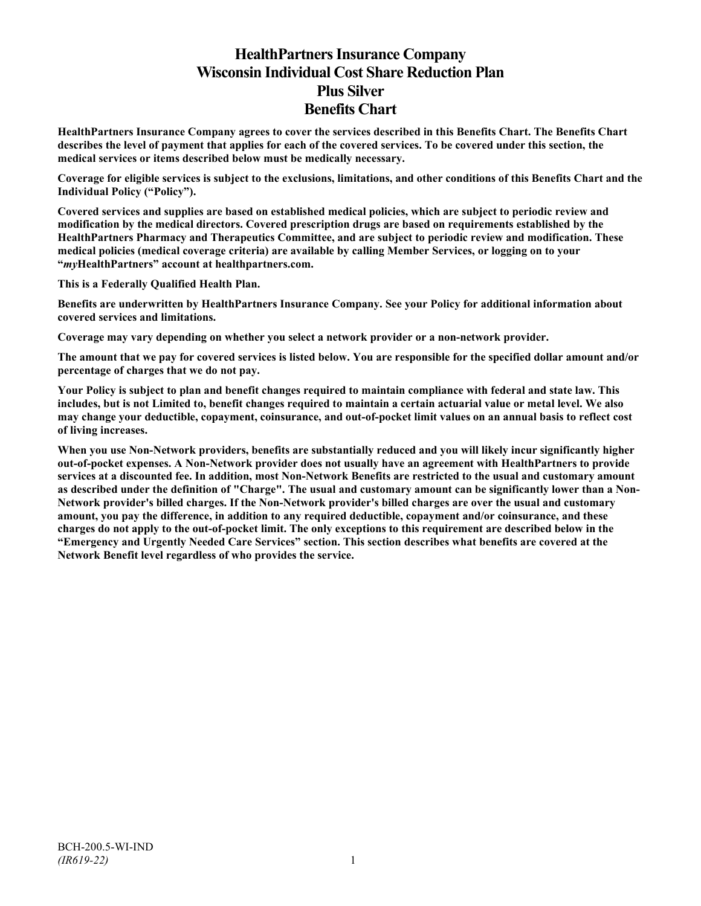# **HealthPartners Insurance Company Wisconsin Individual Cost Share Reduction Plan Plus Silver Benefits Chart**

**HealthPartners Insurance Company agrees to cover the services described in this Benefits Chart. The Benefits Chart describes the level of payment that applies for each of the covered services. To be covered under this section, the medical services or items described below must be medically necessary.**

**Coverage for eligible services is subject to the exclusions, limitations, and other conditions of this Benefits Chart and the Individual Policy ("Policy").**

**Covered services and supplies are based on established medical policies, which are subject to periodic review and modification by the medical directors. Covered prescription drugs are based on requirements established by the HealthPartners Pharmacy and Therapeutics Committee, and are subject to periodic review and modification. These medical policies (medical coverage criteria) are available by calling Member Services, or logging on to your "***my***HealthPartners" account at [healthpartners.com.](http://www.healthpartners.com/)**

**This is a Federally Qualified Health Plan.**

**Benefits are underwritten by HealthPartners Insurance Company. See your Policy for additional information about covered services and limitations.**

**Coverage may vary depending on whether you select a network provider or a non-network provider.**

**The amount that we pay for covered services is listed below. You are responsible for the specified dollar amount and/or percentage of charges that we do not pay.**

**Your Policy is subject to plan and benefit changes required to maintain compliance with federal and state law. This includes, but is not Limited to, benefit changes required to maintain a certain actuarial value or metal level. We also may change your deductible, copayment, coinsurance, and out-of-pocket limit values on an annual basis to reflect cost of living increases.**

**When you use Non-Network providers, benefits are substantially reduced and you will likely incur significantly higher out-of-pocket expenses. A Non-Network provider does not usually have an agreement with HealthPartners to provide services at a discounted fee. In addition, most Non-Network Benefits are restricted to the usual and customary amount as described under the definition of "Charge". The usual and customary amount can be significantly lower than a Non-Network provider's billed charges. If the Non-Network provider's billed charges are over the usual and customary amount, you pay the difference, in addition to any required deductible, copayment and/or coinsurance, and these charges do not apply to the out-of-pocket limit. The only exceptions to this requirement are described below in the "Emergency and Urgently Needed Care Services" section. This section describes what benefits are covered at the Network Benefit level regardless of who provides the service.**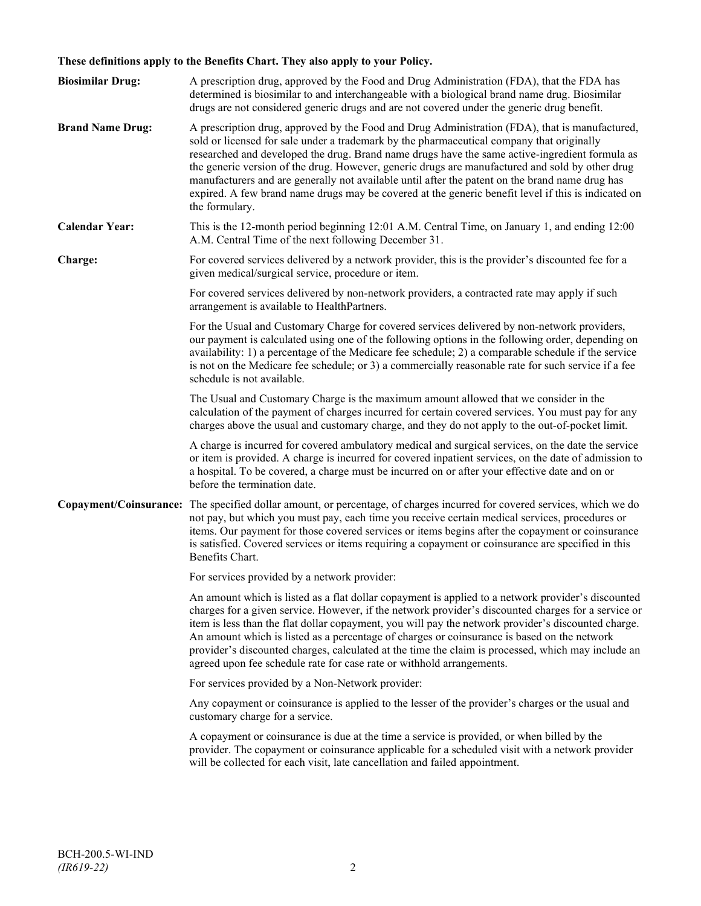# **These definitions apply to the Benefits Chart. They also apply to your Policy.**

| <b>Biosimilar Drug:</b> | A prescription drug, approved by the Food and Drug Administration (FDA), that the FDA has<br>determined is biosimilar to and interchangeable with a biological brand name drug. Biosimilar<br>drugs are not considered generic drugs and are not covered under the generic drug benefit.                                                                                                                                                                                                                                                                                                                                     |
|-------------------------|------------------------------------------------------------------------------------------------------------------------------------------------------------------------------------------------------------------------------------------------------------------------------------------------------------------------------------------------------------------------------------------------------------------------------------------------------------------------------------------------------------------------------------------------------------------------------------------------------------------------------|
| <b>Brand Name Drug:</b> | A prescription drug, approved by the Food and Drug Administration (FDA), that is manufactured,<br>sold or licensed for sale under a trademark by the pharmaceutical company that originally<br>researched and developed the drug. Brand name drugs have the same active-ingredient formula as<br>the generic version of the drug. However, generic drugs are manufactured and sold by other drug<br>manufacturers and are generally not available until after the patent on the brand name drug has<br>expired. A few brand name drugs may be covered at the generic benefit level if this is indicated on<br>the formulary. |
| <b>Calendar Year:</b>   | This is the 12-month period beginning 12:01 A.M. Central Time, on January 1, and ending 12:00<br>A.M. Central Time of the next following December 31.                                                                                                                                                                                                                                                                                                                                                                                                                                                                        |
| Charge:                 | For covered services delivered by a network provider, this is the provider's discounted fee for a<br>given medical/surgical service, procedure or item.                                                                                                                                                                                                                                                                                                                                                                                                                                                                      |
|                         | For covered services delivered by non-network providers, a contracted rate may apply if such<br>arrangement is available to HealthPartners.                                                                                                                                                                                                                                                                                                                                                                                                                                                                                  |
|                         | For the Usual and Customary Charge for covered services delivered by non-network providers,<br>our payment is calculated using one of the following options in the following order, depending on<br>availability: 1) a percentage of the Medicare fee schedule; 2) a comparable schedule if the service<br>is not on the Medicare fee schedule; or 3) a commercially reasonable rate for such service if a fee<br>schedule is not available.                                                                                                                                                                                 |
|                         | The Usual and Customary Charge is the maximum amount allowed that we consider in the<br>calculation of the payment of charges incurred for certain covered services. You must pay for any<br>charges above the usual and customary charge, and they do not apply to the out-of-pocket limit.                                                                                                                                                                                                                                                                                                                                 |
|                         | A charge is incurred for covered ambulatory medical and surgical services, on the date the service<br>or item is provided. A charge is incurred for covered inpatient services, on the date of admission to<br>a hospital. To be covered, a charge must be incurred on or after your effective date and on or<br>before the termination date.                                                                                                                                                                                                                                                                                |
|                         | Copayment/Coinsurance: The specified dollar amount, or percentage, of charges incurred for covered services, which we do<br>not pay, but which you must pay, each time you receive certain medical services, procedures or<br>items. Our payment for those covered services or items begins after the copayment or coinsurance<br>is satisfied. Covered services or items requiring a copayment or coinsurance are specified in this<br>Benefits Chart.                                                                                                                                                                      |
|                         | For services provided by a network provider:                                                                                                                                                                                                                                                                                                                                                                                                                                                                                                                                                                                 |
|                         | An amount which is listed as a flat dollar copayment is applied to a network provider's discounted<br>charges for a given service. However, if the network provider's discounted charges for a service or<br>item is less than the flat dollar copayment, you will pay the network provider's discounted charge.<br>An amount which is listed as a percentage of charges or coinsurance is based on the network<br>provider's discounted charges, calculated at the time the claim is processed, which may include an<br>agreed upon fee schedule rate for case rate or withhold arrangements.                               |
|                         | For services provided by a Non-Network provider:                                                                                                                                                                                                                                                                                                                                                                                                                                                                                                                                                                             |
|                         | Any copayment or coinsurance is applied to the lesser of the provider's charges or the usual and<br>customary charge for a service.                                                                                                                                                                                                                                                                                                                                                                                                                                                                                          |
|                         | A copayment or coinsurance is due at the time a service is provided, or when billed by the<br>provider. The copayment or coinsurance applicable for a scheduled visit with a network provider<br>will be collected for each visit, late cancellation and failed appointment.                                                                                                                                                                                                                                                                                                                                                 |
|                         |                                                                                                                                                                                                                                                                                                                                                                                                                                                                                                                                                                                                                              |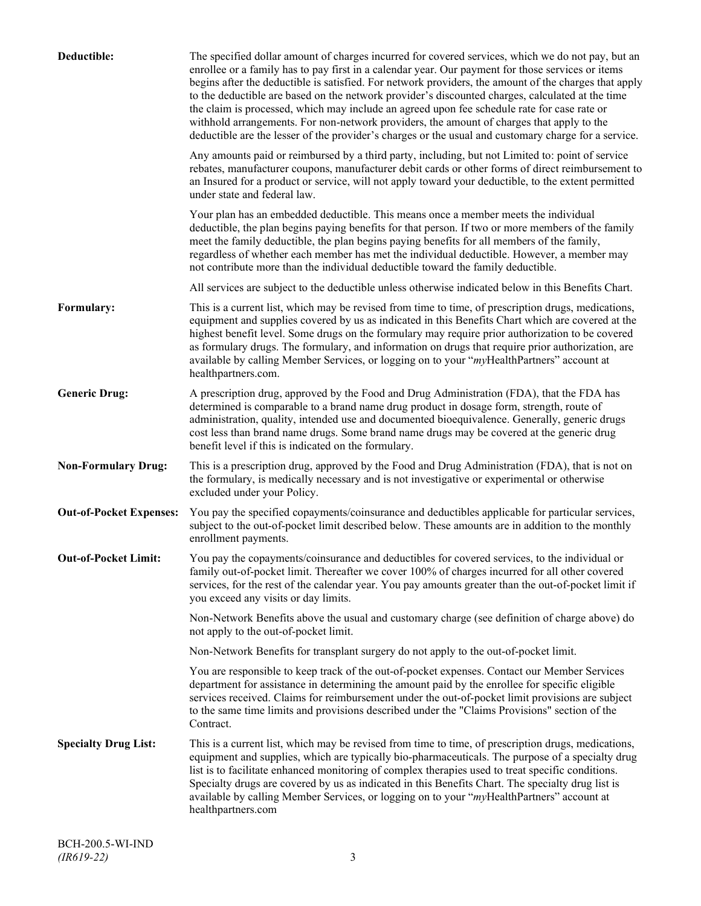| Deductible:                    | The specified dollar amount of charges incurred for covered services, which we do not pay, but an<br>enrollee or a family has to pay first in a calendar year. Our payment for those services or items<br>begins after the deductible is satisfied. For network providers, the amount of the charges that apply<br>to the deductible are based on the network provider's discounted charges, calculated at the time<br>the claim is processed, which may include an agreed upon fee schedule rate for case rate or<br>withhold arrangements. For non-network providers, the amount of charges that apply to the<br>deductible are the lesser of the provider's charges or the usual and customary charge for a service. |
|--------------------------------|-------------------------------------------------------------------------------------------------------------------------------------------------------------------------------------------------------------------------------------------------------------------------------------------------------------------------------------------------------------------------------------------------------------------------------------------------------------------------------------------------------------------------------------------------------------------------------------------------------------------------------------------------------------------------------------------------------------------------|
|                                | Any amounts paid or reimbursed by a third party, including, but not Limited to: point of service<br>rebates, manufacturer coupons, manufacturer debit cards or other forms of direct reimbursement to<br>an Insured for a product or service, will not apply toward your deductible, to the extent permitted<br>under state and federal law.                                                                                                                                                                                                                                                                                                                                                                            |
|                                | Your plan has an embedded deductible. This means once a member meets the individual<br>deductible, the plan begins paying benefits for that person. If two or more members of the family<br>meet the family deductible, the plan begins paying benefits for all members of the family,<br>regardless of whether each member has met the individual deductible. However, a member may<br>not contribute more than the individual deductible toward the family deductible.                                                                                                                                                                                                                                                |
|                                | All services are subject to the deductible unless otherwise indicated below in this Benefits Chart.                                                                                                                                                                                                                                                                                                                                                                                                                                                                                                                                                                                                                     |
| Formulary:                     | This is a current list, which may be revised from time to time, of prescription drugs, medications,<br>equipment and supplies covered by us as indicated in this Benefits Chart which are covered at the<br>highest benefit level. Some drugs on the formulary may require prior authorization to be covered<br>as formulary drugs. The formulary, and information on drugs that require prior authorization, are<br>available by calling Member Services, or logging on to your "myHealthPartners" account at<br>healthpartners.com.                                                                                                                                                                                   |
| <b>Generic Drug:</b>           | A prescription drug, approved by the Food and Drug Administration (FDA), that the FDA has<br>determined is comparable to a brand name drug product in dosage form, strength, route of<br>administration, quality, intended use and documented bioequivalence. Generally, generic drugs<br>cost less than brand name drugs. Some brand name drugs may be covered at the generic drug<br>benefit level if this is indicated on the formulary.                                                                                                                                                                                                                                                                             |
| <b>Non-Formulary Drug:</b>     | This is a prescription drug, approved by the Food and Drug Administration (FDA), that is not on<br>the formulary, is medically necessary and is not investigative or experimental or otherwise<br>excluded under your Policy.                                                                                                                                                                                                                                                                                                                                                                                                                                                                                           |
| <b>Out-of-Pocket Expenses:</b> | You pay the specified copayments/coinsurance and deductibles applicable for particular services,<br>subject to the out-of-pocket limit described below. These amounts are in addition to the monthly<br>enrollment payments.                                                                                                                                                                                                                                                                                                                                                                                                                                                                                            |
| <b>Out-of-Pocket Limit:</b>    | You pay the copayments/coinsurance and deductibles for covered services, to the individual or<br>family out-of-pocket limit. Thereafter we cover 100% of charges incurred for all other covered<br>services, for the rest of the calendar year. You pay amounts greater than the out-of-pocket limit if<br>you exceed any visits or day limits.                                                                                                                                                                                                                                                                                                                                                                         |
|                                | Non-Network Benefits above the usual and customary charge (see definition of charge above) do<br>not apply to the out-of-pocket limit.                                                                                                                                                                                                                                                                                                                                                                                                                                                                                                                                                                                  |
|                                | Non-Network Benefits for transplant surgery do not apply to the out-of-pocket limit.                                                                                                                                                                                                                                                                                                                                                                                                                                                                                                                                                                                                                                    |
|                                | You are responsible to keep track of the out-of-pocket expenses. Contact our Member Services<br>department for assistance in determining the amount paid by the enrollee for specific eligible<br>services received. Claims for reimbursement under the out-of-pocket limit provisions are subject<br>to the same time limits and provisions described under the "Claims Provisions" section of the<br>Contract.                                                                                                                                                                                                                                                                                                        |
| <b>Specialty Drug List:</b>    | This is a current list, which may be revised from time to time, of prescription drugs, medications,<br>equipment and supplies, which are typically bio-pharmaceuticals. The purpose of a specialty drug<br>list is to facilitate enhanced monitoring of complex therapies used to treat specific conditions.<br>Specialty drugs are covered by us as indicated in this Benefits Chart. The specialty drug list is<br>available by calling Member Services, or logging on to your "myHealthPartners" account at<br>healthpartners.com                                                                                                                                                                                    |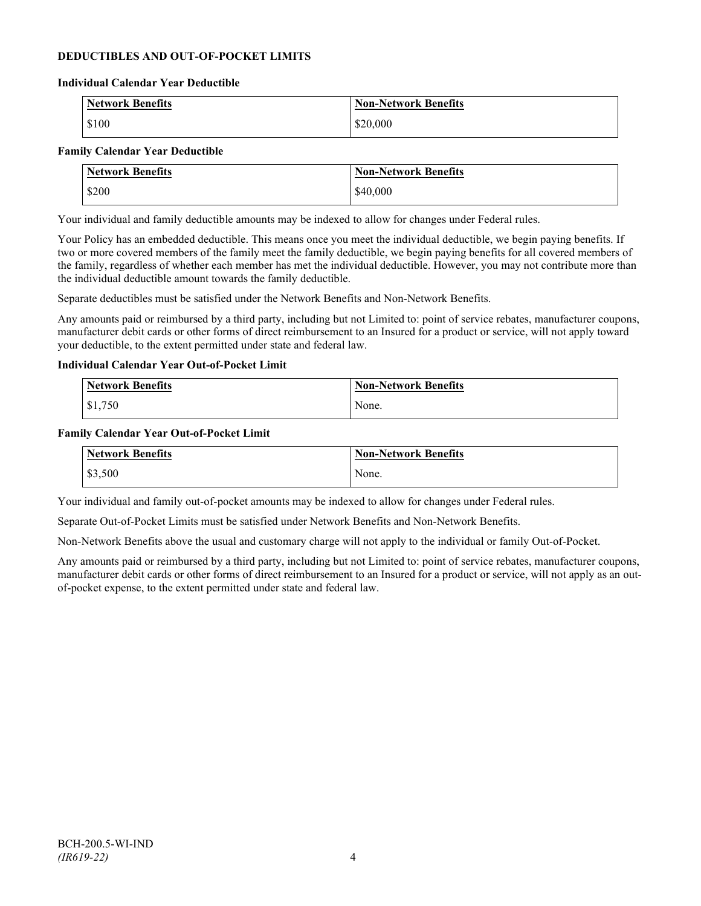### **DEDUCTIBLES AND OUT-OF-POCKET LIMITS**

#### **Individual Calendar Year Deductible**

| <b>Network Benefits</b> | <b>Non-Network Benefits</b> |
|-------------------------|-----------------------------|
| \$100                   | \$20,000                    |

#### **Family Calendar Year Deductible**

| <b>Network Benefits</b> | <b>Non-Network Benefits</b> |
|-------------------------|-----------------------------|
| \$200                   | \$40,000                    |

Your individual and family deductible amounts may be indexed to allow for changes under Federal rules.

Your Policy has an embedded deductible. This means once you meet the individual deductible, we begin paying benefits. If two or more covered members of the family meet the family deductible, we begin paying benefits for all covered members of the family, regardless of whether each member has met the individual deductible. However, you may not contribute more than the individual deductible amount towards the family deductible.

Separate deductibles must be satisfied under the Network Benefits and Non-Network Benefits.

Any amounts paid or reimbursed by a third party, including but not Limited to: point of service rebates, manufacturer coupons, manufacturer debit cards or other forms of direct reimbursement to an Insured for a product or service, will not apply toward your deductible, to the extent permitted under state and federal law.

#### **Individual Calendar Year Out-of-Pocket Limit**

| Network Benefits | <b>Non-Network Benefits</b> |
|------------------|-----------------------------|
| \$1,750          | None.                       |

#### **Family Calendar Year Out-of-Pocket Limit**

| Network Benefits | Non-Network Benefits |
|------------------|----------------------|
| \$3,500          | None.                |

Your individual and family out-of-pocket amounts may be indexed to allow for changes under Federal rules.

Separate Out-of-Pocket Limits must be satisfied under Network Benefits and Non-Network Benefits.

Non-Network Benefits above the usual and customary charge will not apply to the individual or family Out-of-Pocket.

Any amounts paid or reimbursed by a third party, including but not Limited to: point of service rebates, manufacturer coupons, manufacturer debit cards or other forms of direct reimbursement to an Insured for a product or service, will not apply as an outof-pocket expense, to the extent permitted under state and federal law.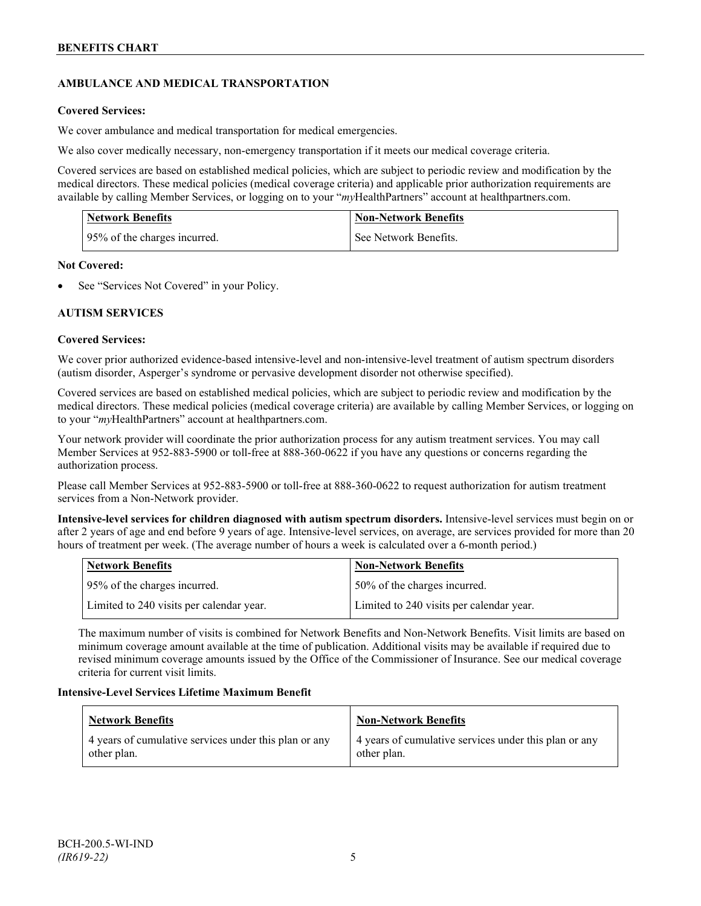# **AMBULANCE AND MEDICAL TRANSPORTATION**

## **Covered Services:**

We cover ambulance and medical transportation for medical emergencies.

We also cover medically necessary, non-emergency transportation if it meets our medical coverage criteria.

Covered services are based on established medical policies, which are subject to periodic review and modification by the medical directors. These medical policies (medical coverage criteria) and applicable prior authorization requirements are available by calling Member Services, or logging on to your "*my*HealthPartners" account a[t healthpartners.com.](http://www.healthpartners.com/)

| <b>Network Benefits</b>      | <b>Non-Network Benefits</b> |
|------------------------------|-----------------------------|
| 95% of the charges incurred. | See Network Benefits.       |

### **Not Covered:**

See "Services Not Covered" in your Policy.

### **AUTISM SERVICES**

### **Covered Services:**

We cover prior authorized evidence-based intensive-level and non-intensive-level treatment of autism spectrum disorders (autism disorder, Asperger's syndrome or pervasive development disorder not otherwise specified).

Covered services are based on established medical policies, which are subject to periodic review and modification by the medical directors. These medical policies (medical coverage criteria) are available by calling Member Services, or logging on to your "*my*HealthPartners" account at [healthpartners.com.](http://www.healthpartners.com/)

Your network provider will coordinate the prior authorization process for any autism treatment services. You may call Member Services at 952-883-5900 or toll-free at 888-360-0622 if you have any questions or concerns regarding the authorization process.

Please call Member Services at 952-883-5900 or toll-free at 888-360-0622 to request authorization for autism treatment services from a Non-Network provider.

**Intensive-level services for children diagnosed with autism spectrum disorders.** Intensive-level services must begin on or after 2 years of age and end before 9 years of age. Intensive-level services, on average, are services provided for more than 20 hours of treatment per week. (The average number of hours a week is calculated over a 6-month period.)

| Network Benefits                         | <b>Non-Network Benefits</b>              |
|------------------------------------------|------------------------------------------|
| 95% of the charges incurred.             | 50% of the charges incurred.             |
| Limited to 240 visits per calendar year. | Limited to 240 visits per calendar year. |

The maximum number of visits is combined for Network Benefits and Non-Network Benefits. Visit limits are based on minimum coverage amount available at the time of publication. Additional visits may be available if required due to revised minimum coverage amounts issued by the Office of the Commissioner of Insurance. See our medical coverage criteria for current visit limits.

### **Intensive-Level Services Lifetime Maximum Benefit**

| <b>Network Benefits</b>                                              | <b>Non-Network Benefits</b>                                          |
|----------------------------------------------------------------------|----------------------------------------------------------------------|
| 4 years of cumulative services under this plan or any<br>other plan. | 4 years of cumulative services under this plan or any<br>other plan. |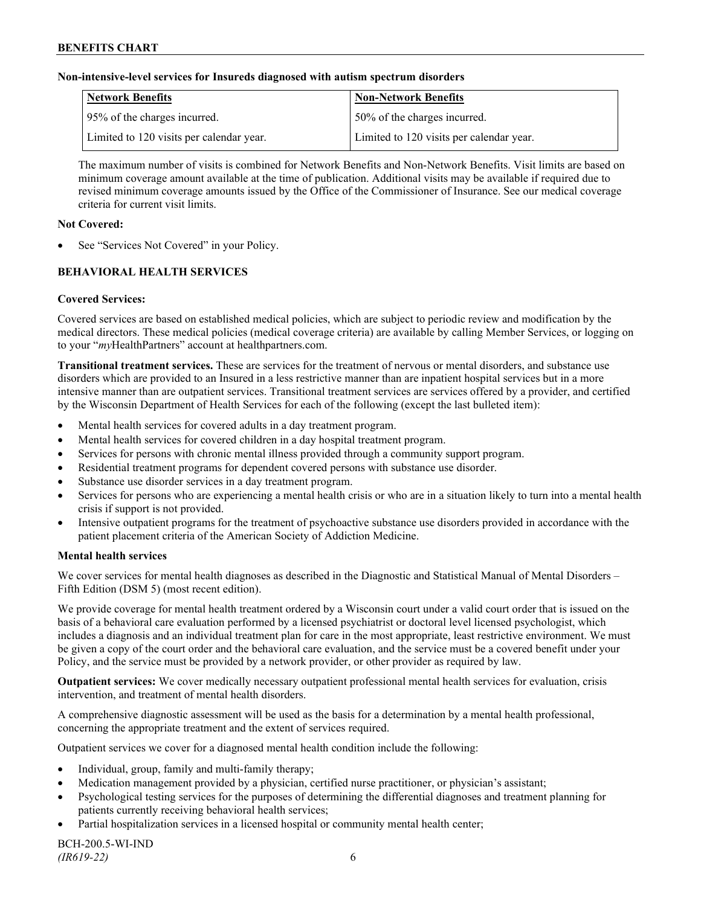#### **Non-intensive-level services for Insureds diagnosed with autism spectrum disorders**

| Network Benefits                         | <b>Non-Network Benefits</b>              |
|------------------------------------------|------------------------------------------|
| 95% of the charges incurred.             | 50% of the charges incurred.             |
| Limited to 120 visits per calendar year. | Limited to 120 visits per calendar year. |

The maximum number of visits is combined for Network Benefits and Non-Network Benefits. Visit limits are based on minimum coverage amount available at the time of publication. Additional visits may be available if required due to revised minimum coverage amounts issued by the Office of the Commissioner of Insurance. See our medical coverage criteria for current visit limits.

#### **Not Covered:**

See "Services Not Covered" in your Policy.

# **BEHAVIORAL HEALTH SERVICES**

#### **Covered Services:**

Covered services are based on established medical policies, which are subject to periodic review and modification by the medical directors. These medical policies (medical coverage criteria) are available by calling Member Services, or logging on to your "*my*HealthPartners" account at [healthpartners.com.](http://www.healthpartners.com/)

**Transitional treatment services.** These are services for the treatment of nervous or mental disorders, and substance use disorders which are provided to an Insured in a less restrictive manner than are inpatient hospital services but in a more intensive manner than are outpatient services. Transitional treatment services are services offered by a provider, and certified by the Wisconsin Department of Health Services for each of the following (except the last bulleted item):

- Mental health services for covered adults in a day treatment program.
- Mental health services for covered children in a day hospital treatment program.
- Services for persons with chronic mental illness provided through a community support program.
- Residential treatment programs for dependent covered persons with substance use disorder.
- Substance use disorder services in a day treatment program.
- Services for persons who are experiencing a mental health crisis or who are in a situation likely to turn into a mental health crisis if support is not provided.
- Intensive outpatient programs for the treatment of psychoactive substance use disorders provided in accordance with the patient placement criteria of the American Society of Addiction Medicine.

#### **Mental health services**

We cover services for mental health diagnoses as described in the Diagnostic and Statistical Manual of Mental Disorders – Fifth Edition (DSM 5) (most recent edition).

We provide coverage for mental health treatment ordered by a Wisconsin court under a valid court order that is issued on the basis of a behavioral care evaluation performed by a licensed psychiatrist or doctoral level licensed psychologist, which includes a diagnosis and an individual treatment plan for care in the most appropriate, least restrictive environment. We must be given a copy of the court order and the behavioral care evaluation, and the service must be a covered benefit under your Policy, and the service must be provided by a network provider, or other provider as required by law.

**Outpatient services:** We cover medically necessary outpatient professional mental health services for evaluation, crisis intervention, and treatment of mental health disorders.

A comprehensive diagnostic assessment will be used as the basis for a determination by a mental health professional, concerning the appropriate treatment and the extent of services required.

Outpatient services we cover for a diagnosed mental health condition include the following:

- Individual, group, family and multi-family therapy;
- Medication management provided by a physician, certified nurse practitioner, or physician's assistant;
- Psychological testing services for the purposes of determining the differential diagnoses and treatment planning for patients currently receiving behavioral health services;
- Partial hospitalization services in a licensed hospital or community mental health center;

BCH-200.5-WI-IND *(IR619-22)* 6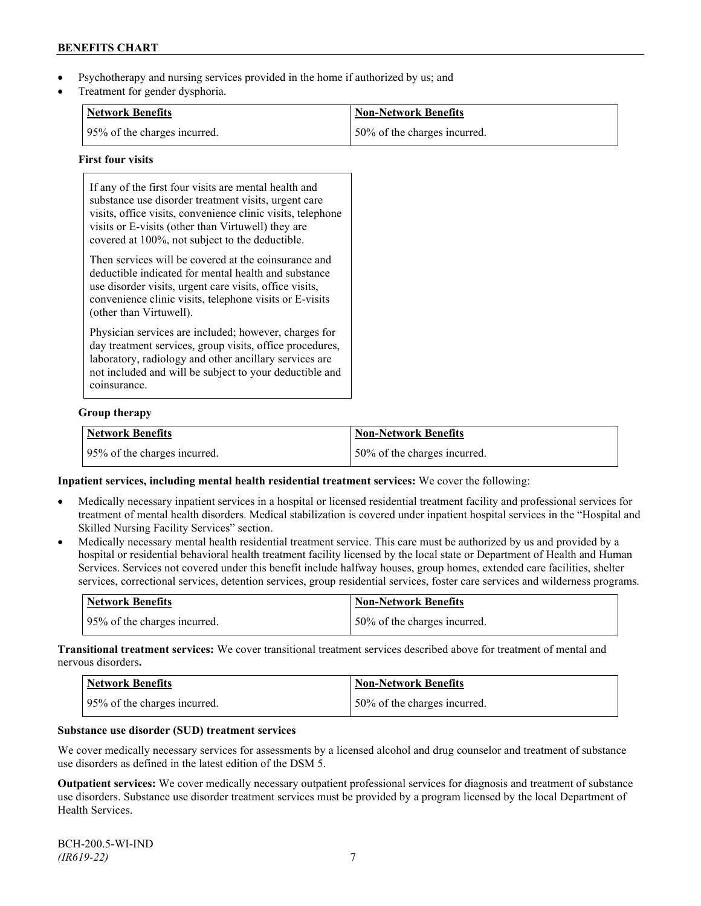- Psychotherapy and nursing services provided in the home if authorized by us; and
- Treatment for gender dysphoria.

| Network Benefits             | Non-Network Benefits          |
|------------------------------|-------------------------------|
| 95% of the charges incurred. | 150% of the charges incurred. |

#### **First four visits**

| If any of the first four visits are mental health and<br>substance use disorder treatment visits, urgent care<br>visits, office visits, convenience clinic visits, telephone<br>visits or E-visits (other than Virtuwell) they are<br>covered at 100%, not subject to the deductible. |
|---------------------------------------------------------------------------------------------------------------------------------------------------------------------------------------------------------------------------------------------------------------------------------------|
| Then services will be covered at the coinsurance and<br>deductible indicated for mental health and substance<br>use disorder visits, urgent care visits, office visits,<br>convenience clinic visits, telephone visits or E-visits<br>(other than Virtuwell).                         |
| Physician services are included; however, charges for<br>day treatment services, group visits, office procedures,<br>laboratory, radiology and other ancillary services are<br>not included and will be subject to your deductible and<br>coinsurance.                                |

### **Group therapy**

| <b>Network Benefits</b>      | Non-Network Benefits         |
|------------------------------|------------------------------|
| 95% of the charges incurred. | 50% of the charges incurred. |

**Inpatient services, including mental health residential treatment services:** We cover the following:

- Medically necessary inpatient services in a hospital or licensed residential treatment facility and professional services for treatment of mental health disorders. Medical stabilization is covered under inpatient hospital services in the "Hospital and Skilled Nursing Facility Services" section.
- Medically necessary mental health residential treatment service. This care must be authorized by us and provided by a hospital or residential behavioral health treatment facility licensed by the local state or Department of Health and Human Services. Services not covered under this benefit include halfway houses, group homes, extended care facilities, shelter services, correctional services, detention services, group residential services, foster care services and wilderness programs.

| Network Benefits             | <b>Non-Network Benefits</b>  |
|------------------------------|------------------------------|
| 95% of the charges incurred. | 50% of the charges incurred. |

**Transitional treatment services:** We cover transitional treatment services described above for treatment of mental and nervous disorders**.**

| Network Benefits             | <b>Non-Network Benefits</b>  |
|------------------------------|------------------------------|
| 95% of the charges incurred. | 50% of the charges incurred. |

#### **Substance use disorder (SUD) treatment services**

We cover medically necessary services for assessments by a licensed alcohol and drug counselor and treatment of substance use disorders as defined in the latest edition of the DSM 5.

**Outpatient services:** We cover medically necessary outpatient professional services for diagnosis and treatment of substance use disorders. Substance use disorder treatment services must be provided by a program licensed by the local Department of Health Services.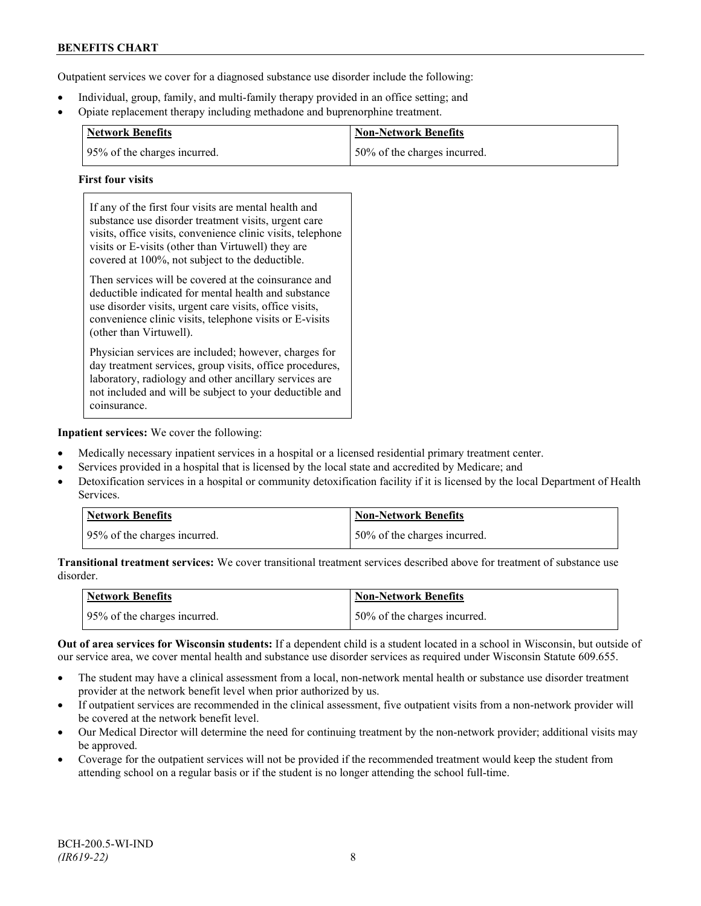Outpatient services we cover for a diagnosed substance use disorder include the following:

- Individual, group, family, and multi-family therapy provided in an office setting; and
- Opiate replacement therapy including methadone and buprenorphine treatment.

| <b>Network Benefits</b>       | <b>Non-Network Benefits</b>  |
|-------------------------------|------------------------------|
| 195% of the charges incurred. | 50% of the charges incurred. |

#### **First four visits**

If any of the first four visits are mental health and substance use disorder treatment visits, urgent care visits, office visits, convenience clinic visits, telephone visits or E-visits (other than Virtuwell) they are covered at 100%, not subject to the deductible.

Then services will be covered at the coinsurance and deductible indicated for mental health and substance use disorder visits, urgent care visits, office visits, convenience clinic visits, telephone visits or E-visits (other than Virtuwell).

Physician services are included; however, charges for day treatment services, group visits, office procedures, laboratory, radiology and other ancillary services are not included and will be subject to your deductible and coinsurance.

**Inpatient services:** We cover the following:

- Medically necessary inpatient services in a hospital or a licensed residential primary treatment center.
- Services provided in a hospital that is licensed by the local state and accredited by Medicare; and
- Detoxification services in a hospital or community detoxification facility if it is licensed by the local Department of Health Services.

| <b>Network Benefits</b>      | <b>Non-Network Benefits</b>  |
|------------------------------|------------------------------|
| 95% of the charges incurred. | 50% of the charges incurred. |

**Transitional treatment services:** We cover transitional treatment services described above for treatment of substance use disorder.

| <b>Network Benefits</b>      | Non-Network Benefits         |
|------------------------------|------------------------------|
| 95% of the charges incurred. | 50% of the charges incurred. |

**Out of area services for Wisconsin students:** If a dependent child is a student located in a school in Wisconsin, but outside of our service area, we cover mental health and substance use disorder services as required under Wisconsin Statute 609.655.

- The student may have a clinical assessment from a local, non-network mental health or substance use disorder treatment provider at the network benefit level when prior authorized by us.
- If outpatient services are recommended in the clinical assessment, five outpatient visits from a non-network provider will be covered at the network benefit level.
- Our Medical Director will determine the need for continuing treatment by the non-network provider; additional visits may be approved.
- Coverage for the outpatient services will not be provided if the recommended treatment would keep the student from attending school on a regular basis or if the student is no longer attending the school full-time.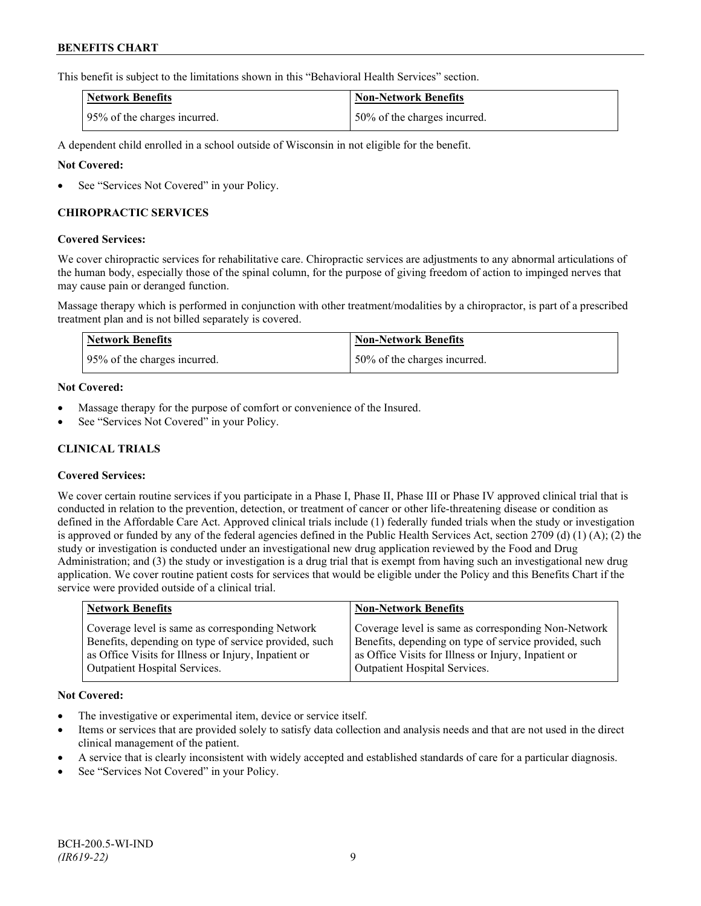This benefit is subject to the limitations shown in this "Behavioral Health Services" section.

| <b>Network Benefits</b>      | <b>Non-Network Benefits</b>  |
|------------------------------|------------------------------|
| 95% of the charges incurred. | 50% of the charges incurred. |

A dependent child enrolled in a school outside of Wisconsin in not eligible for the benefit.

### **Not Covered:**

See "Services Not Covered" in your Policy.

### **CHIROPRACTIC SERVICES**

#### **Covered Services:**

We cover chiropractic services for rehabilitative care. Chiropractic services are adjustments to any abnormal articulations of the human body, especially those of the spinal column, for the purpose of giving freedom of action to impinged nerves that may cause pain or deranged function.

Massage therapy which is performed in conjunction with other treatment/modalities by a chiropractor, is part of a prescribed treatment plan and is not billed separately is covered.

| <b>Network Benefits</b>      | <b>Non-Network Benefits</b>   |
|------------------------------|-------------------------------|
| 95% of the charges incurred. | 150% of the charges incurred. |

#### **Not Covered:**

- Massage therapy for the purpose of comfort or convenience of the Insured.
- See "Services Not Covered" in your Policy.

# **CLINICAL TRIALS**

### **Covered Services:**

We cover certain routine services if you participate in a Phase I, Phase II, Phase III or Phase IV approved clinical trial that is conducted in relation to the prevention, detection, or treatment of cancer or other life-threatening disease or condition as defined in the Affordable Care Act. Approved clinical trials include (1) federally funded trials when the study or investigation is approved or funded by any of the federal agencies defined in the Public Health Services Act, section 2709 (d) (1) (A); (2) the study or investigation is conducted under an investigational new drug application reviewed by the Food and Drug Administration; and (3) the study or investigation is a drug trial that is exempt from having such an investigational new drug application. We cover routine patient costs for services that would be eligible under the Policy and this Benefits Chart if the service were provided outside of a clinical trial.

| <b>Network Benefits</b>                               | <b>Non-Network Benefits</b>                           |
|-------------------------------------------------------|-------------------------------------------------------|
| Coverage level is same as corresponding Network       | Coverage level is same as corresponding Non-Network   |
| Benefits, depending on type of service provided, such | Benefits, depending on type of service provided, such |
| as Office Visits for Illness or Injury, Inpatient or  | as Office Visits for Illness or Injury, Inpatient or  |
| <b>Outpatient Hospital Services.</b>                  | Outpatient Hospital Services.                         |

### **Not Covered:**

- The investigative or experimental item, device or service itself.
- Items or services that are provided solely to satisfy data collection and analysis needs and that are not used in the direct clinical management of the patient.
- A service that is clearly inconsistent with widely accepted and established standards of care for a particular diagnosis.
- See "Services Not Covered" in your Policy.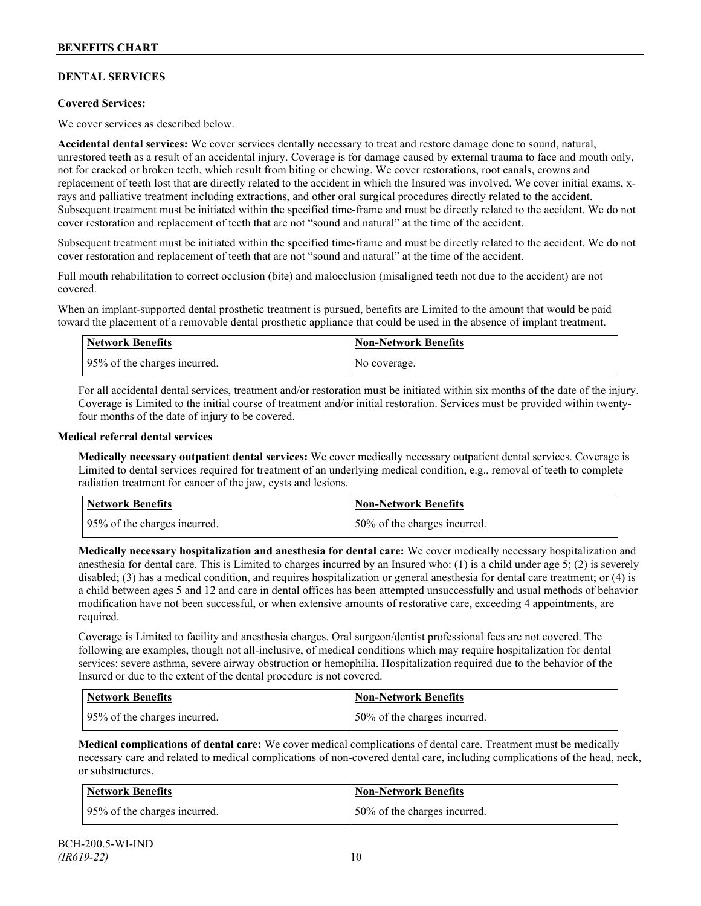# **DENTAL SERVICES**

### **Covered Services:**

We cover services as described below.

**Accidental dental services:** We cover services dentally necessary to treat and restore damage done to sound, natural, unrestored teeth as a result of an accidental injury. Coverage is for damage caused by external trauma to face and mouth only, not for cracked or broken teeth, which result from biting or chewing. We cover restorations, root canals, crowns and replacement of teeth lost that are directly related to the accident in which the Insured was involved. We cover initial exams, xrays and palliative treatment including extractions, and other oral surgical procedures directly related to the accident. Subsequent treatment must be initiated within the specified time-frame and must be directly related to the accident. We do not cover restoration and replacement of teeth that are not "sound and natural" at the time of the accident.

Subsequent treatment must be initiated within the specified time-frame and must be directly related to the accident. We do not cover restoration and replacement of teeth that are not "sound and natural" at the time of the accident.

Full mouth rehabilitation to correct occlusion (bite) and malocclusion (misaligned teeth not due to the accident) are not covered.

When an implant-supported dental prosthetic treatment is pursued, benefits are Limited to the amount that would be paid toward the placement of a removable dental prosthetic appliance that could be used in the absence of implant treatment.

| <b>Network Benefits</b>      | <b>Non-Network Benefits</b> |
|------------------------------|-----------------------------|
| 95% of the charges incurred. | No coverage.                |

For all accidental dental services, treatment and/or restoration must be initiated within six months of the date of the injury. Coverage is Limited to the initial course of treatment and/or initial restoration. Services must be provided within twentyfour months of the date of injury to be covered.

#### **Medical referral dental services**

**Medically necessary outpatient dental services:** We cover medically necessary outpatient dental services. Coverage is Limited to dental services required for treatment of an underlying medical condition, e.g., removal of teeth to complete radiation treatment for cancer of the jaw, cysts and lesions.

| Network Benefits             | <b>Non-Network Benefits</b>  |
|------------------------------|------------------------------|
| 95% of the charges incurred. | 50% of the charges incurred. |

**Medically necessary hospitalization and anesthesia for dental care:** We cover medically necessary hospitalization and anesthesia for dental care. This is Limited to charges incurred by an Insured who: (1) is a child under age 5; (2) is severely disabled; (3) has a medical condition, and requires hospitalization or general anesthesia for dental care treatment; or (4) is a child between ages 5 and 12 and care in dental offices has been attempted unsuccessfully and usual methods of behavior modification have not been successful, or when extensive amounts of restorative care, exceeding 4 appointments, are required.

Coverage is Limited to facility and anesthesia charges. Oral surgeon/dentist professional fees are not covered. The following are examples, though not all-inclusive, of medical conditions which may require hospitalization for dental services: severe asthma, severe airway obstruction or hemophilia. Hospitalization required due to the behavior of the Insured or due to the extent of the dental procedure is not covered.

| Network Benefits             | Non-Network Benefits          |
|------------------------------|-------------------------------|
| 95% of the charges incurred. | 150% of the charges incurred. |

**Medical complications of dental care:** We cover medical complications of dental care. Treatment must be medically necessary care and related to medical complications of non-covered dental care, including complications of the head, neck, or substructures.

| Network Benefits             | Non-Network Benefits          |
|------------------------------|-------------------------------|
| 95% of the charges incurred. | 150% of the charges incurred. |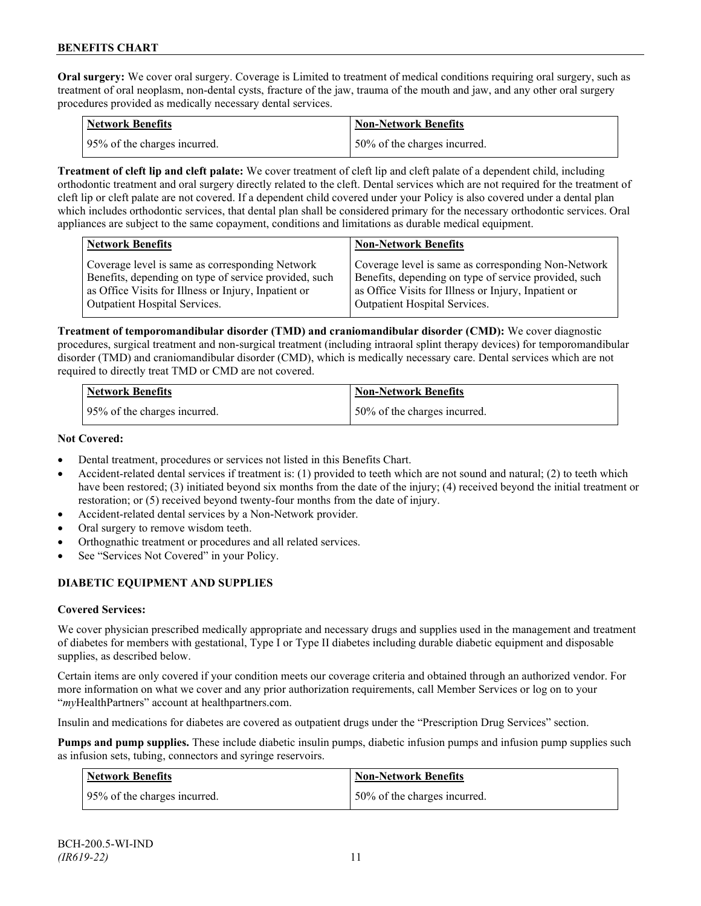**Oral surgery:** We cover oral surgery. Coverage is Limited to treatment of medical conditions requiring oral surgery, such as treatment of oral neoplasm, non-dental cysts, fracture of the jaw, trauma of the mouth and jaw, and any other oral surgery procedures provided as medically necessary dental services.

| Network Benefits             | <b>Non-Network Benefits</b>  |
|------------------------------|------------------------------|
| 95% of the charges incurred. | 50% of the charges incurred. |

**Treatment of cleft lip and cleft palate:** We cover treatment of cleft lip and cleft palate of a dependent child, including orthodontic treatment and oral surgery directly related to the cleft. Dental services which are not required for the treatment of cleft lip or cleft palate are not covered. If a dependent child covered under your Policy is also covered under a dental plan which includes orthodontic services, that dental plan shall be considered primary for the necessary orthodontic services. Oral appliances are subject to the same copayment, conditions and limitations as durable medical equipment.

| <b>Network Benefits</b>                               | <b>Non-Network Benefits</b>                           |
|-------------------------------------------------------|-------------------------------------------------------|
| Coverage level is same as corresponding Network       | Coverage level is same as corresponding Non-Network   |
| Benefits, depending on type of service provided, such | Benefits, depending on type of service provided, such |
| as Office Visits for Illness or Injury, Inpatient or  | as Office Visits for Illness or Injury, Inpatient or  |
| Outpatient Hospital Services.                         | Outpatient Hospital Services.                         |

**Treatment of temporomandibular disorder (TMD) and craniomandibular disorder (CMD):** We cover diagnostic procedures, surgical treatment and non-surgical treatment (including intraoral splint therapy devices) for temporomandibular disorder (TMD) and craniomandibular disorder (CMD), which is medically necessary care. Dental services which are not required to directly treat TMD or CMD are not covered.

| <b>Network Benefits</b>      | Non-Network Benefits         |
|------------------------------|------------------------------|
| 95% of the charges incurred. | 50% of the charges incurred. |

### **Not Covered:**

- Dental treatment, procedures or services not listed in this Benefits Chart.
- Accident-related dental services if treatment is: (1) provided to teeth which are not sound and natural; (2) to teeth which have been restored; (3) initiated beyond six months from the date of the injury; (4) received beyond the initial treatment or restoration; or (5) received beyond twenty-four months from the date of injury.
- Accident-related dental services by a Non-Network provider.
- Oral surgery to remove wisdom teeth.
- Orthognathic treatment or procedures and all related services.
- See "Services Not Covered" in your Policy.

### **DIABETIC EQUIPMENT AND SUPPLIES**

### **Covered Services:**

We cover physician prescribed medically appropriate and necessary drugs and supplies used in the management and treatment of diabetes for members with gestational, Type I or Type II diabetes including durable diabetic equipment and disposable supplies, as described below.

Certain items are only covered if your condition meets our coverage criteria and obtained through an authorized vendor. For more information on what we cover and any prior authorization requirements, call Member Services or log on to your "*my*HealthPartners" account at [healthpartners.com.](http://www.healthpartners.com/)

Insulin and medications for diabetes are covered as outpatient drugs under the "Prescription Drug Services" section.

**Pumps and pump supplies.** These include diabetic insulin pumps, diabetic infusion pumps and infusion pump supplies such as infusion sets, tubing, connectors and syringe reservoirs.

| <b>Network Benefits</b>      | <b>Non-Network Benefits</b>   |
|------------------------------|-------------------------------|
| 95% of the charges incurred. | 150% of the charges incurred. |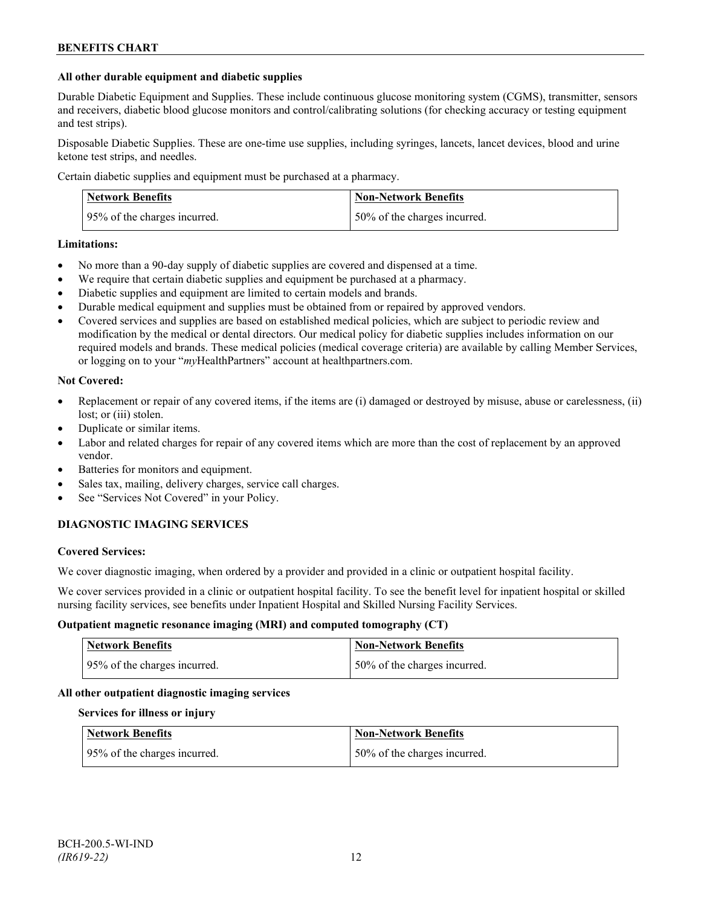#### **All other durable equipment and diabetic supplies**

Durable Diabetic Equipment and Supplies. These include continuous glucose monitoring system (CGMS), transmitter, sensors and receivers, diabetic blood glucose monitors and control/calibrating solutions (for checking accuracy or testing equipment and test strips).

Disposable Diabetic Supplies. These are one-time use supplies, including syringes, lancets, lancet devices, blood and urine ketone test strips, and needles.

Certain diabetic supplies and equipment must be purchased at a pharmacy.

| <b>Network Benefits</b>      | <b>Non-Network Benefits</b>   |
|------------------------------|-------------------------------|
| 95% of the charges incurred. | 150% of the charges incurred. |

#### **Limitations:**

- No more than a 90-day supply of diabetic supplies are covered and dispensed at a time.
- We require that certain diabetic supplies and equipment be purchased at a pharmacy.
- Diabetic supplies and equipment are limited to certain models and brands.
- Durable medical equipment and supplies must be obtained from or repaired by approved vendors.
- Covered services and supplies are based on established medical policies, which are subject to periodic review and modification by the medical or dental directors. Our medical policy for diabetic supplies includes information on our required models and brands. These medical policies (medical coverage criteria) are available by calling Member Services, or logging on to your "*my*HealthPartners" account at healthpartners.com.

#### **Not Covered:**

- Replacement or repair of any covered items, if the items are (i) damaged or destroyed by misuse, abuse or carelessness, (ii) lost; or (iii) stolen.
- Duplicate or similar items.
- Labor and related charges for repair of any covered items which are more than the cost of replacement by an approved vendor.
- Batteries for monitors and equipment.
- Sales tax, mailing, delivery charges, service call charges.
- See "Services Not Covered" in your Policy.

### **DIAGNOSTIC IMAGING SERVICES**

#### **Covered Services:**

We cover diagnostic imaging, when ordered by a provider and provided in a clinic or outpatient hospital facility.

We cover services provided in a clinic or outpatient hospital facility. To see the benefit level for inpatient hospital or skilled nursing facility services, see benefits under Inpatient Hospital and Skilled Nursing Facility Services.

#### **Outpatient magnetic resonance imaging (MRI) and computed tomography (CT)**

| <b>Network Benefits</b>       | Non-Network Benefits          |
|-------------------------------|-------------------------------|
| 195% of the charges incurred. | 150% of the charges incurred. |

### **All other outpatient diagnostic imaging services**

#### **Services for illness or injury**

| <b>Network Benefits</b>      | <b>Non-Network Benefits</b>  |
|------------------------------|------------------------------|
| 95% of the charges incurred. | 50% of the charges incurred. |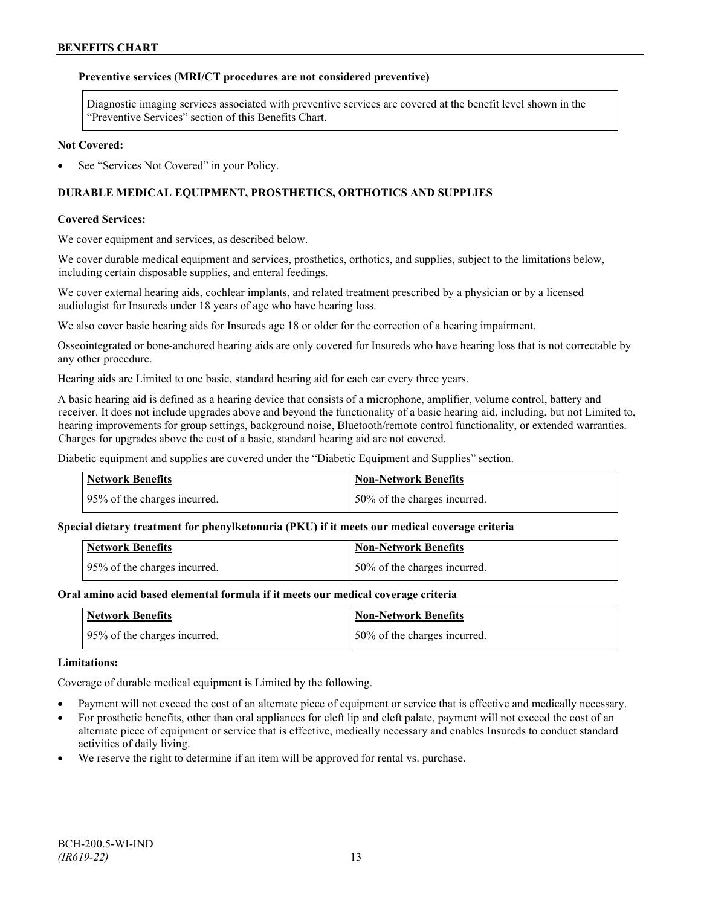## **Preventive services (MRI/CT procedures are not considered preventive)**

Diagnostic imaging services associated with preventive services are covered at the benefit level shown in the "Preventive Services" section of this Benefits Chart.

### **Not Covered:**

See "Services Not Covered" in your Policy.

# **DURABLE MEDICAL EQUIPMENT, PROSTHETICS, ORTHOTICS AND SUPPLIES**

# **Covered Services:**

We cover equipment and services, as described below.

We cover durable medical equipment and services, prosthetics, orthotics, and supplies, subject to the limitations below, including certain disposable supplies, and enteral feedings.

We cover external hearing aids, cochlear implants, and related treatment prescribed by a physician or by a licensed audiologist for Insureds under 18 years of age who have hearing loss.

We also cover basic hearing aids for Insureds age 18 or older for the correction of a hearing impairment.

Osseointegrated or bone-anchored hearing aids are only covered for Insureds who have hearing loss that is not correctable by any other procedure.

Hearing aids are Limited to one basic, standard hearing aid for each ear every three years.

A basic hearing aid is defined as a hearing device that consists of a microphone, amplifier, volume control, battery and receiver. It does not include upgrades above and beyond the functionality of a basic hearing aid, including, but not Limited to, hearing improvements for group settings, background noise, Bluetooth/remote control functionality, or extended warranties. Charges for upgrades above the cost of a basic, standard hearing aid are not covered.

Diabetic equipment and supplies are covered under the "Diabetic Equipment and Supplies" section.

| <b>Network Benefits</b>      | <b>Non-Network Benefits</b>  |
|------------------------------|------------------------------|
| 95% of the charges incurred. | 50% of the charges incurred. |

### **Special dietary treatment for phenylketonuria (PKU) if it meets our medical coverage criteria**

| <b>Network Benefits</b>      | <b>Non-Network Benefits</b>  |
|------------------------------|------------------------------|
| 95% of the charges incurred. | 50% of the charges incurred. |

### **Oral amino acid based elemental formula if it meets our medical coverage criteria**

| Network Benefits             | <b>Non-Network Benefits</b>  |
|------------------------------|------------------------------|
| 95% of the charges incurred. | 50% of the charges incurred. |

### **Limitations:**

Coverage of durable medical equipment is Limited by the following.

- Payment will not exceed the cost of an alternate piece of equipment or service that is effective and medically necessary.
- For prosthetic benefits, other than oral appliances for cleft lip and cleft palate, payment will not exceed the cost of an alternate piece of equipment or service that is effective, medically necessary and enables Insureds to conduct standard activities of daily living.
- We reserve the right to determine if an item will be approved for rental vs. purchase.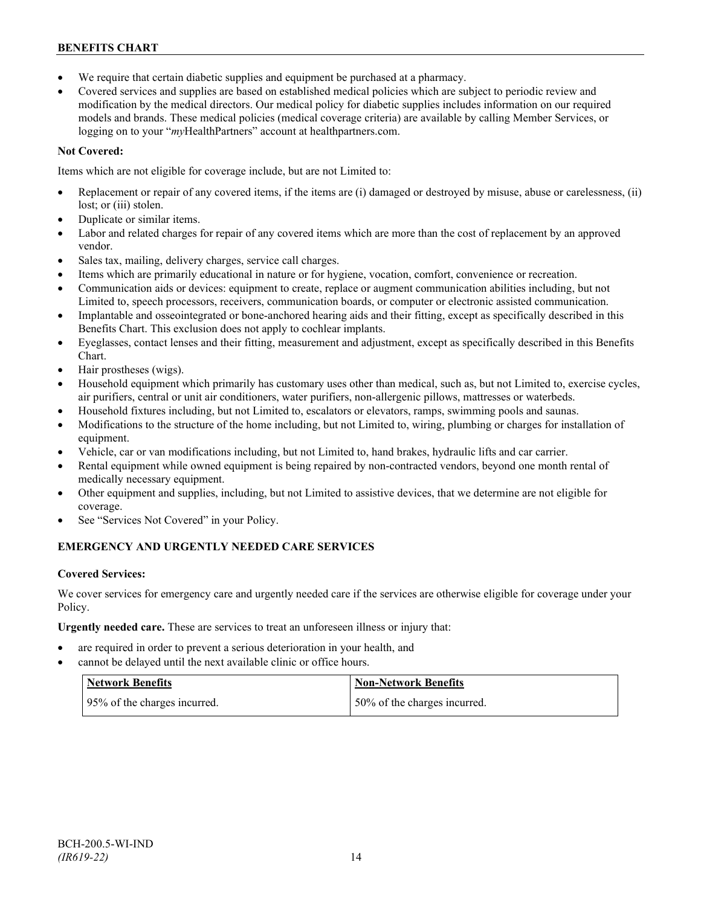- We require that certain diabetic supplies and equipment be purchased at a pharmacy.
- Covered services and supplies are based on established medical policies which are subject to periodic review and modification by the medical directors. Our medical policy for diabetic supplies includes information on our required models and brands. These medical policies (medical coverage criteria) are available by calling Member Services, or logging on to your "*my*HealthPartners" account at [healthpartners.com.](http://www.healthpartners.com/)

# **Not Covered:**

Items which are not eligible for coverage include, but are not Limited to:

- Replacement or repair of any covered items, if the items are (i) damaged or destroyed by misuse, abuse or carelessness, (ii) lost; or (iii) stolen.
- Duplicate or similar items.
- Labor and related charges for repair of any covered items which are more than the cost of replacement by an approved vendor.
- Sales tax, mailing, delivery charges, service call charges.
- Items which are primarily educational in nature or for hygiene, vocation, comfort, convenience or recreation.
- Communication aids or devices: equipment to create, replace or augment communication abilities including, but not Limited to, speech processors, receivers, communication boards, or computer or electronic assisted communication.
- Implantable and osseointegrated or bone-anchored hearing aids and their fitting, except as specifically described in this Benefits Chart. This exclusion does not apply to cochlear implants.
- Eyeglasses, contact lenses and their fitting, measurement and adjustment, except as specifically described in this Benefits Chart.
- Hair prostheses (wigs).
- Household equipment which primarily has customary uses other than medical, such as, but not Limited to, exercise cycles, air purifiers, central or unit air conditioners, water purifiers, non-allergenic pillows, mattresses or waterbeds.
- Household fixtures including, but not Limited to, escalators or elevators, ramps, swimming pools and saunas.
- Modifications to the structure of the home including, but not Limited to, wiring, plumbing or charges for installation of equipment.
- Vehicle, car or van modifications including, but not Limited to, hand brakes, hydraulic lifts and car carrier.
- Rental equipment while owned equipment is being repaired by non-contracted vendors, beyond one month rental of medically necessary equipment.
- Other equipment and supplies, including, but not Limited to assistive devices, that we determine are not eligible for coverage.
- See "Services Not Covered" in your Policy.

# **EMERGENCY AND URGENTLY NEEDED CARE SERVICES**

### **Covered Services:**

We cover services for emergency care and urgently needed care if the services are otherwise eligible for coverage under your Policy.

**Urgently needed care.** These are services to treat an unforeseen illness or injury that:

- are required in order to prevent a serious deterioration in your health, and
- cannot be delayed until the next available clinic or office hours.

| Network Benefits             | <b>Non-Network Benefits</b>  |
|------------------------------|------------------------------|
| 95% of the charges incurred. | 50% of the charges incurred. |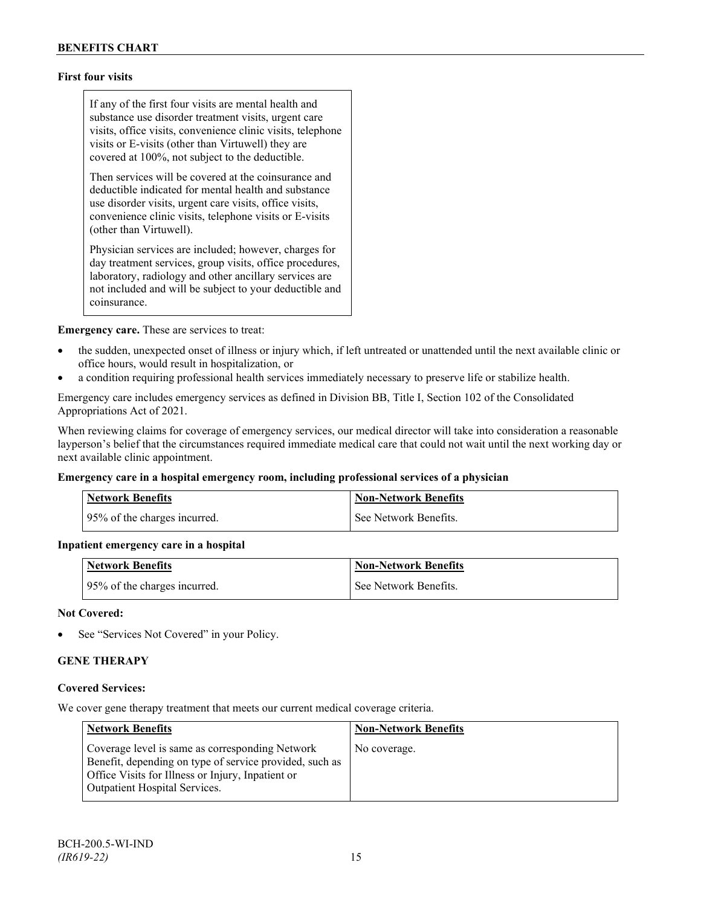# **First four visits**

If any of the first four visits are mental health and substance use disorder treatment visits, urgent care visits, office visits, convenience clinic visits, telephone visits or E-visits (other than Virtuwell) they are covered at 100%, not subject to the deductible.

Then services will be covered at the coinsurance and deductible indicated for mental health and substance use disorder visits, urgent care visits, office visits, convenience clinic visits, telephone visits or E-visits (other than Virtuwell).

Physician services are included; however, charges for day treatment services, group visits, office procedures, laboratory, radiology and other ancillary services are not included and will be subject to your deductible and coinsurance.

**Emergency care.** These are services to treat:

- the sudden, unexpected onset of illness or injury which, if left untreated or unattended until the next available clinic or office hours, would result in hospitalization, or
- a condition requiring professional health services immediately necessary to preserve life or stabilize health.

Emergency care includes emergency services as defined in Division BB, Title I, Section 102 of the Consolidated Appropriations Act of 2021.

When reviewing claims for coverage of emergency services, our medical director will take into consideration a reasonable layperson's belief that the circumstances required immediate medical care that could not wait until the next working day or next available clinic appointment.

#### **Emergency care in a hospital emergency room, including professional services of a physician**

| Network Benefits             | Non-Network Benefits  |
|------------------------------|-----------------------|
| 95% of the charges incurred. | See Network Benefits. |

#### **Inpatient emergency care in a hospital**

| <b>Network Benefits</b>      | <b>Non-Network Benefits</b> |
|------------------------------|-----------------------------|
| 95% of the charges incurred. | See Network Benefits.       |

#### **Not Covered:**

See "Services Not Covered" in your Policy.

## **GENE THERAPY**

#### **Covered Services:**

We cover gene therapy treatment that meets our current medical coverage criteria.

| <b>Network Benefits</b>                                                                                                                                                                                 | <b>Non-Network Benefits</b> |
|---------------------------------------------------------------------------------------------------------------------------------------------------------------------------------------------------------|-----------------------------|
| Coverage level is same as corresponding Network<br>Benefit, depending on type of service provided, such as<br>Office Visits for Illness or Injury, Inpatient or<br><b>Outpatient Hospital Services.</b> | No coverage.                |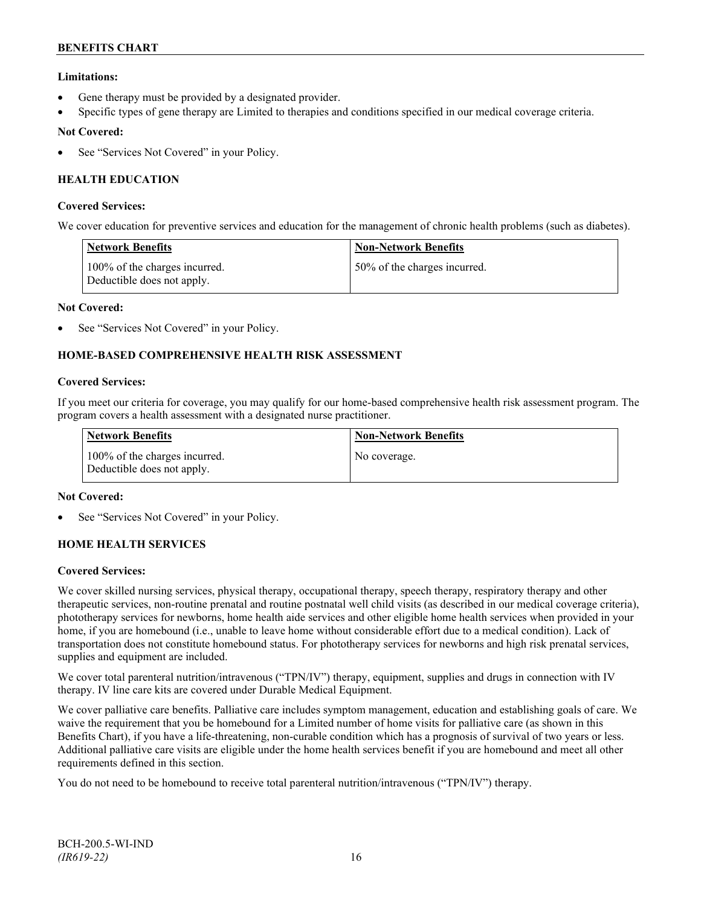# **Limitations:**

- Gene therapy must be provided by a designated provider.
- Specific types of gene therapy are Limited to therapies and conditions specified in our medical coverage criteria.

### **Not Covered:**

See "Services Not Covered" in your Policy.

# **HEALTH EDUCATION**

#### **Covered Services:**

We cover education for preventive services and education for the management of chronic health problems (such as diabetes).

| <b>Network Benefits</b>                                     | <b>Non-Network Benefits</b>  |
|-------------------------------------------------------------|------------------------------|
| 100% of the charges incurred.<br>Deductible does not apply. | 50% of the charges incurred. |

#### **Not Covered:**

See "Services Not Covered" in your Policy.

# **HOME-BASED COMPREHENSIVE HEALTH RISK ASSESSMENT**

#### **Covered Services:**

If you meet our criteria for coverage, you may qualify for our home-based comprehensive health risk assessment program. The program covers a health assessment with a designated nurse practitioner.

| Network Benefits                                            | <b>Non-Network Benefits</b> |
|-------------------------------------------------------------|-----------------------------|
| 100% of the charges incurred.<br>Deductible does not apply. | No coverage.                |

#### **Not Covered:**

See "Services Not Covered" in your Policy.

### **HOME HEALTH SERVICES**

#### **Covered Services:**

We cover skilled nursing services, physical therapy, occupational therapy, speech therapy, respiratory therapy and other therapeutic services, non-routine prenatal and routine postnatal well child visits (as described in our medical coverage criteria), phototherapy services for newborns, home health aide services and other eligible home health services when provided in your home, if you are homebound (i.e., unable to leave home without considerable effort due to a medical condition). Lack of transportation does not constitute homebound status. For phototherapy services for newborns and high risk prenatal services, supplies and equipment are included.

We cover total parenteral nutrition/intravenous ("TPN/IV") therapy, equipment, supplies and drugs in connection with IV therapy. IV line care kits are covered under Durable Medical Equipment.

We cover palliative care benefits. Palliative care includes symptom management, education and establishing goals of care. We waive the requirement that you be homebound for a Limited number of home visits for palliative care (as shown in this Benefits Chart), if you have a life-threatening, non-curable condition which has a prognosis of survival of two years or less. Additional palliative care visits are eligible under the home health services benefit if you are homebound and meet all other requirements defined in this section.

You do not need to be homebound to receive total parenteral nutrition/intravenous ("TPN/IV") therapy.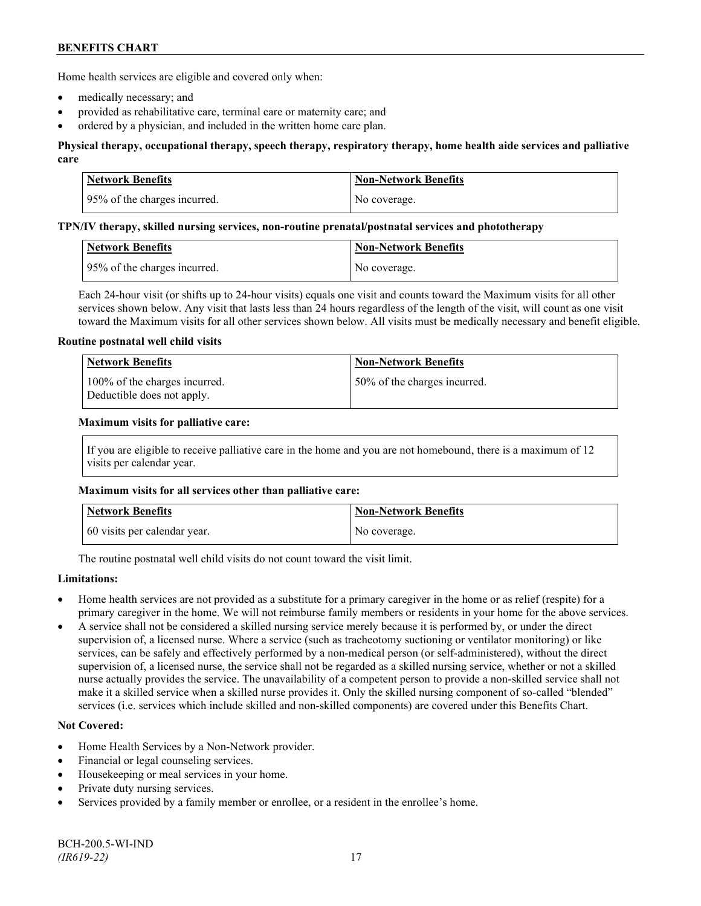Home health services are eligible and covered only when:

- medically necessary; and
- provided as rehabilitative care, terminal care or maternity care; and
- ordered by a physician, and included in the written home care plan.

### **Physical therapy, occupational therapy, speech therapy, respiratory therapy, home health aide services and palliative care**

| <b>Network Benefits</b>      | Non-Network Benefits |
|------------------------------|----------------------|
| 95% of the charges incurred. | No coverage.         |

#### **TPN/IV therapy, skilled nursing services, non-routine prenatal/postnatal services and phototherapy**

| Network Benefits             | ∣ Non-Network Benefits |
|------------------------------|------------------------|
| 95% of the charges incurred. | No coverage.           |

Each 24-hour visit (or shifts up to 24-hour visits) equals one visit and counts toward the Maximum visits for all other services shown below. Any visit that lasts less than 24 hours regardless of the length of the visit, will count as one visit toward the Maximum visits for all other services shown below. All visits must be medically necessary and benefit eligible.

#### **Routine postnatal well child visits**

| Network Benefits                                            | <b>Non-Network Benefits</b>  |
|-------------------------------------------------------------|------------------------------|
| 100% of the charges incurred.<br>Deductible does not apply. | 50% of the charges incurred. |

#### **Maximum visits for palliative care:**

If you are eligible to receive palliative care in the home and you are not homebound, there is a maximum of 12 visits per calendar year.

### **Maximum visits for all services other than palliative care:**

| Network Benefits             | <b>Non-Network Benefits</b> |
|------------------------------|-----------------------------|
| 60 visits per calendar year. | No coverage.                |

The routine postnatal well child visits do not count toward the visit limit.

### **Limitations:**

- Home health services are not provided as a substitute for a primary caregiver in the home or as relief (respite) for a primary caregiver in the home. We will not reimburse family members or residents in your home for the above services.
- A service shall not be considered a skilled nursing service merely because it is performed by, or under the direct supervision of, a licensed nurse. Where a service (such as tracheotomy suctioning or ventilator monitoring) or like services, can be safely and effectively performed by a non-medical person (or self-administered), without the direct supervision of, a licensed nurse, the service shall not be regarded as a skilled nursing service, whether or not a skilled nurse actually provides the service. The unavailability of a competent person to provide a non-skilled service shall not make it a skilled service when a skilled nurse provides it. Only the skilled nursing component of so-called "blended" services (i.e. services which include skilled and non-skilled components) are covered under this Benefits Chart.

### **Not Covered:**

- Home Health Services by a Non-Network provider.
- Financial or legal counseling services.
- Housekeeping or meal services in your home.
- Private duty nursing services.
- Services provided by a family member or enrollee, or a resident in the enrollee's home.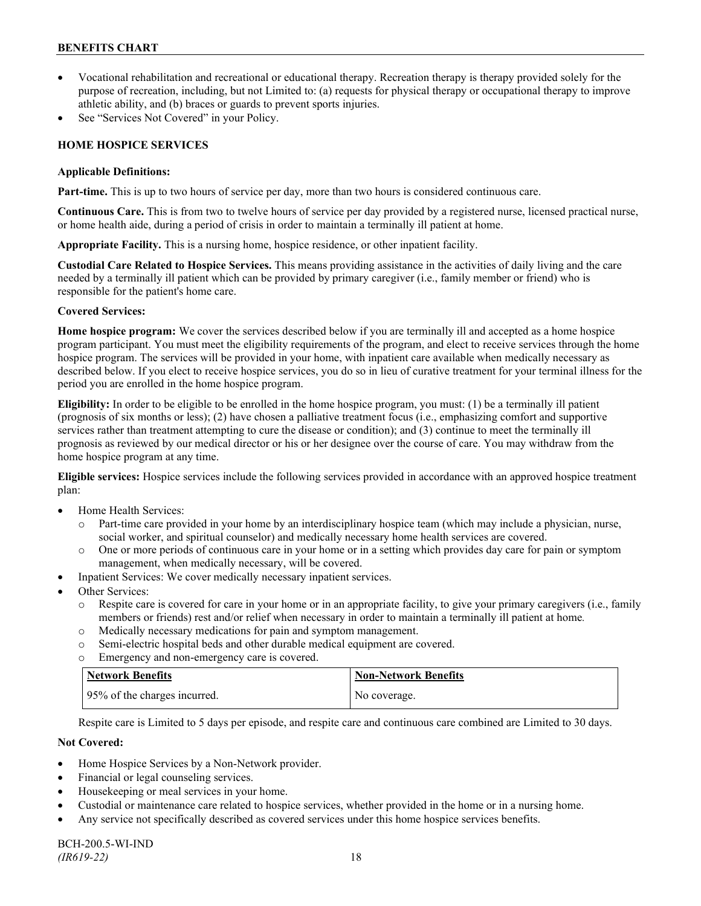- Vocational rehabilitation and recreational or educational therapy. Recreation therapy is therapy provided solely for the purpose of recreation, including, but not Limited to: (a) requests for physical therapy or occupational therapy to improve athletic ability, and (b) braces or guards to prevent sports injuries.
- See "Services Not Covered" in your Policy.

# **HOME HOSPICE SERVICES**

#### **Applicable Definitions:**

**Part-time.** This is up to two hours of service per day, more than two hours is considered continuous care.

**Continuous Care.** This is from two to twelve hours of service per day provided by a registered nurse, licensed practical nurse, or home health aide, during a period of crisis in order to maintain a terminally ill patient at home.

**Appropriate Facility.** This is a nursing home, hospice residence, or other inpatient facility.

**Custodial Care Related to Hospice Services.** This means providing assistance in the activities of daily living and the care needed by a terminally ill patient which can be provided by primary caregiver (i.e., family member or friend) who is responsible for the patient's home care.

### **Covered Services:**

**Home hospice program:** We cover the services described below if you are terminally ill and accepted as a home hospice program participant. You must meet the eligibility requirements of the program, and elect to receive services through the home hospice program. The services will be provided in your home, with inpatient care available when medically necessary as described below. If you elect to receive hospice services, you do so in lieu of curative treatment for your terminal illness for the period you are enrolled in the home hospice program.

**Eligibility:** In order to be eligible to be enrolled in the home hospice program, you must: (1) be a terminally ill patient (prognosis of six months or less); (2) have chosen a palliative treatment focus (i.e., emphasizing comfort and supportive services rather than treatment attempting to cure the disease or condition); and (3) continue to meet the terminally ill prognosis as reviewed by our medical director or his or her designee over the course of care. You may withdraw from the home hospice program at any time.

**Eligible services:** Hospice services include the following services provided in accordance with an approved hospice treatment plan:

- Home Health Services:
	- o Part-time care provided in your home by an interdisciplinary hospice team (which may include a physician, nurse, social worker, and spiritual counselor) and medically necessary home health services are covered.
	- o One or more periods of continuous care in your home or in a setting which provides day care for pain or symptom management, when medically necessary, will be covered.
- Inpatient Services: We cover medically necessary inpatient services.
- Other Services:
	- o Respite care is covered for care in your home or in an appropriate facility, to give your primary caregivers (i.e., family members or friends) rest and/or relief when necessary in order to maintain a terminally ill patient at home*.*
	- o Medically necessary medications for pain and symptom management.
	- o Semi-electric hospital beds and other durable medical equipment are covered.
	- o Emergency and non-emergency care is covered.

| Network Benefits             | Non-Network Benefits |
|------------------------------|----------------------|
| 95% of the charges incurred. | No coverage.         |

Respite care is Limited to 5 days per episode, and respite care and continuous care combined are Limited to 30 days.

### **Not Covered:**

- Home Hospice Services by a Non-Network provider.
- Financial or legal counseling services.
- Housekeeping or meal services in your home.
- Custodial or maintenance care related to hospice services, whether provided in the home or in a nursing home.
- Any service not specifically described as covered services under this home hospice services benefits.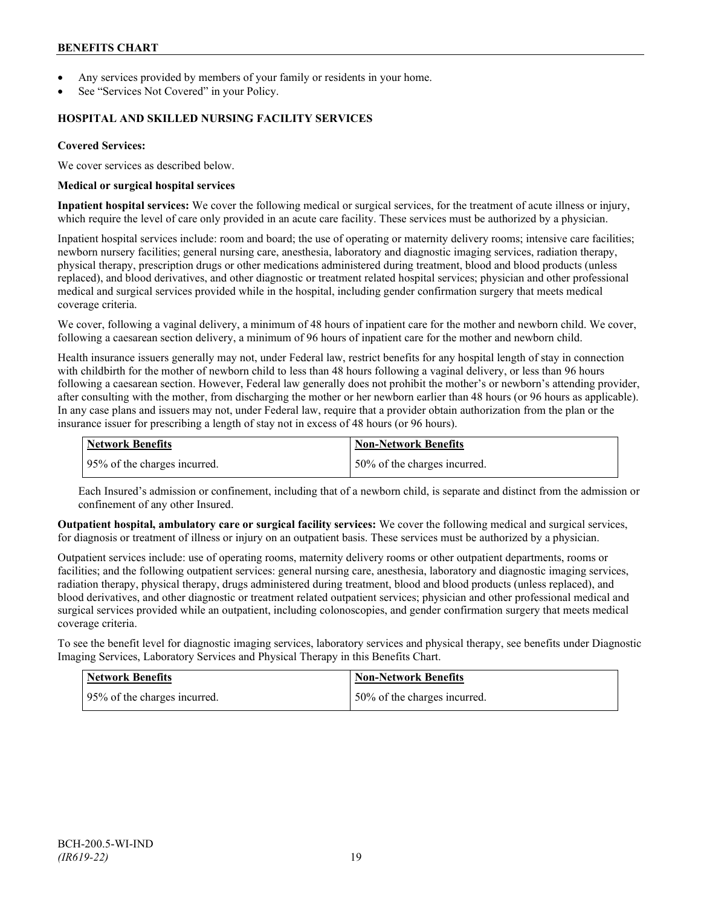- Any services provided by members of your family or residents in your home.
- See "Services Not Covered" in your Policy.

#### **HOSPITAL AND SKILLED NURSING FACILITY SERVICES**

#### **Covered Services:**

We cover services as described below.

#### **Medical or surgical hospital services**

**Inpatient hospital services:** We cover the following medical or surgical services, for the treatment of acute illness or injury, which require the level of care only provided in an acute care facility. These services must be authorized by a physician.

Inpatient hospital services include: room and board; the use of operating or maternity delivery rooms; intensive care facilities; newborn nursery facilities; general nursing care, anesthesia, laboratory and diagnostic imaging services, radiation therapy, physical therapy, prescription drugs or other medications administered during treatment, blood and blood products (unless replaced), and blood derivatives, and other diagnostic or treatment related hospital services; physician and other professional medical and surgical services provided while in the hospital, including gender confirmation surgery that meets medical coverage criteria.

We cover, following a vaginal delivery, a minimum of 48 hours of inpatient care for the mother and newborn child. We cover, following a caesarean section delivery, a minimum of 96 hours of inpatient care for the mother and newborn child.

Health insurance issuers generally may not, under Federal law, restrict benefits for any hospital length of stay in connection with childbirth for the mother of newborn child to less than 48 hours following a vaginal delivery, or less than 96 hours following a caesarean section. However, Federal law generally does not prohibit the mother's or newborn's attending provider, after consulting with the mother, from discharging the mother or her newborn earlier than 48 hours (or 96 hours as applicable). In any case plans and issuers may not, under Federal law, require that a provider obtain authorization from the plan or the insurance issuer for prescribing a length of stay not in excess of 48 hours (or 96 hours).

| <b>Network Benefits</b>      | Non-Network Benefits         |
|------------------------------|------------------------------|
| 95% of the charges incurred. | 50% of the charges incurred. |

Each Insured's admission or confinement, including that of a newborn child, is separate and distinct from the admission or confinement of any other Insured.

**Outpatient hospital, ambulatory care or surgical facility services:** We cover the following medical and surgical services, for diagnosis or treatment of illness or injury on an outpatient basis. These services must be authorized by a physician.

Outpatient services include: use of operating rooms, maternity delivery rooms or other outpatient departments, rooms or facilities; and the following outpatient services: general nursing care, anesthesia, laboratory and diagnostic imaging services, radiation therapy, physical therapy, drugs administered during treatment, blood and blood products (unless replaced), and blood derivatives, and other diagnostic or treatment related outpatient services; physician and other professional medical and surgical services provided while an outpatient, including colonoscopies, and gender confirmation surgery that meets medical coverage criteria.

To see the benefit level for diagnostic imaging services, laboratory services and physical therapy, see benefits under Diagnostic Imaging Services, Laboratory Services and Physical Therapy in this Benefits Chart.

| Network Benefits             | <b>Non-Network Benefits</b>  |
|------------------------------|------------------------------|
| 95% of the charges incurred. | 50% of the charges incurred. |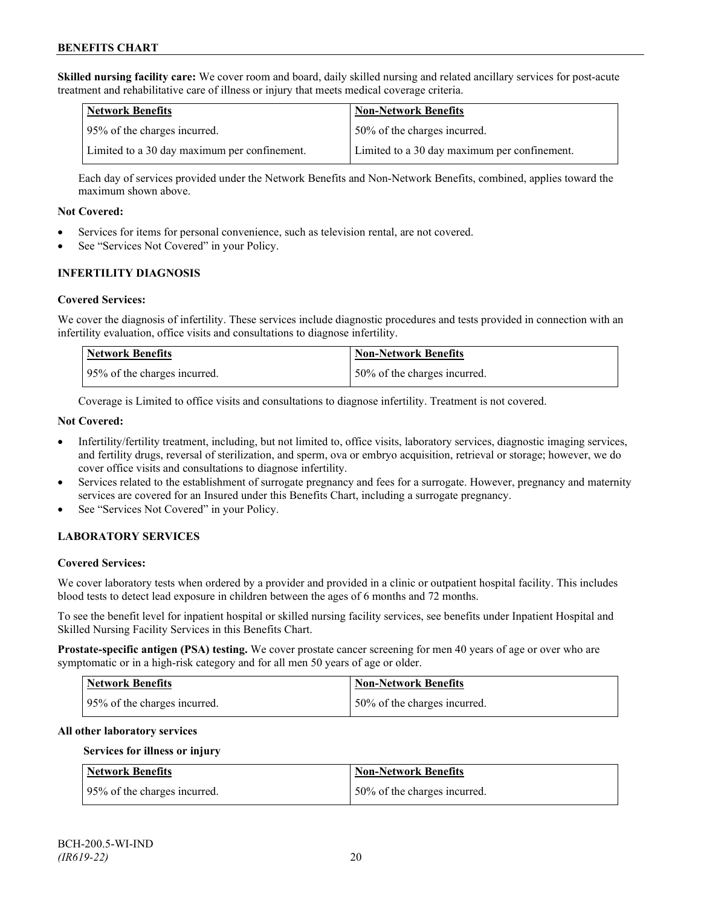**Skilled nursing facility care:** We cover room and board, daily skilled nursing and related ancillary services for post-acute treatment and rehabilitative care of illness or injury that meets medical coverage criteria.

| Network Benefits                             | <b>Non-Network Benefits</b>                  |
|----------------------------------------------|----------------------------------------------|
| 95% of the charges incurred.                 | 50% of the charges incurred.                 |
| Limited to a 30 day maximum per confinement. | Limited to a 30 day maximum per confinement. |

Each day of services provided under the Network Benefits and Non-Network Benefits, combined, applies toward the maximum shown above.

#### **Not Covered:**

- Services for items for personal convenience, such as television rental, are not covered.
- See "Services Not Covered" in your Policy.

### **INFERTILITY DIAGNOSIS**

#### **Covered Services:**

We cover the diagnosis of infertility. These services include diagnostic procedures and tests provided in connection with an infertility evaluation, office visits and consultations to diagnose infertility.

| Network Benefits             | <b>Non-Network Benefits</b>  |
|------------------------------|------------------------------|
| 95% of the charges incurred. | 50% of the charges incurred. |

Coverage is Limited to office visits and consultations to diagnose infertility. Treatment is not covered.

### **Not Covered:**

- Infertility/fertility treatment, including, but not limited to, office visits, laboratory services, diagnostic imaging services, and fertility drugs, reversal of sterilization, and sperm, ova or embryo acquisition, retrieval or storage; however, we do cover office visits and consultations to diagnose infertility.
- Services related to the establishment of surrogate pregnancy and fees for a surrogate. However, pregnancy and maternity services are covered for an Insured under this Benefits Chart, including a surrogate pregnancy.
- See "Services Not Covered" in your Policy.

### **LABORATORY SERVICES**

#### **Covered Services:**

We cover laboratory tests when ordered by a provider and provided in a clinic or outpatient hospital facility. This includes blood tests to detect lead exposure in children between the ages of 6 months and 72 months.

To see the benefit level for inpatient hospital or skilled nursing facility services, see benefits under Inpatient Hospital and Skilled Nursing Facility Services in this Benefits Chart.

**Prostate-specific antigen (PSA) testing.** We cover prostate cancer screening for men 40 years of age or over who are symptomatic or in a high-risk category and for all men 50 years of age or older.

| <b>Network Benefits</b>      | <b>Non-Network Benefits</b>  |
|------------------------------|------------------------------|
| 95% of the charges incurred. | 50% of the charges incurred. |

#### **All other laboratory services**

#### **Services for illness or injury**

| <b>Network Benefits</b>      | <b>Non-Network Benefits</b>  |
|------------------------------|------------------------------|
| 95% of the charges incurred. | 50% of the charges incurred. |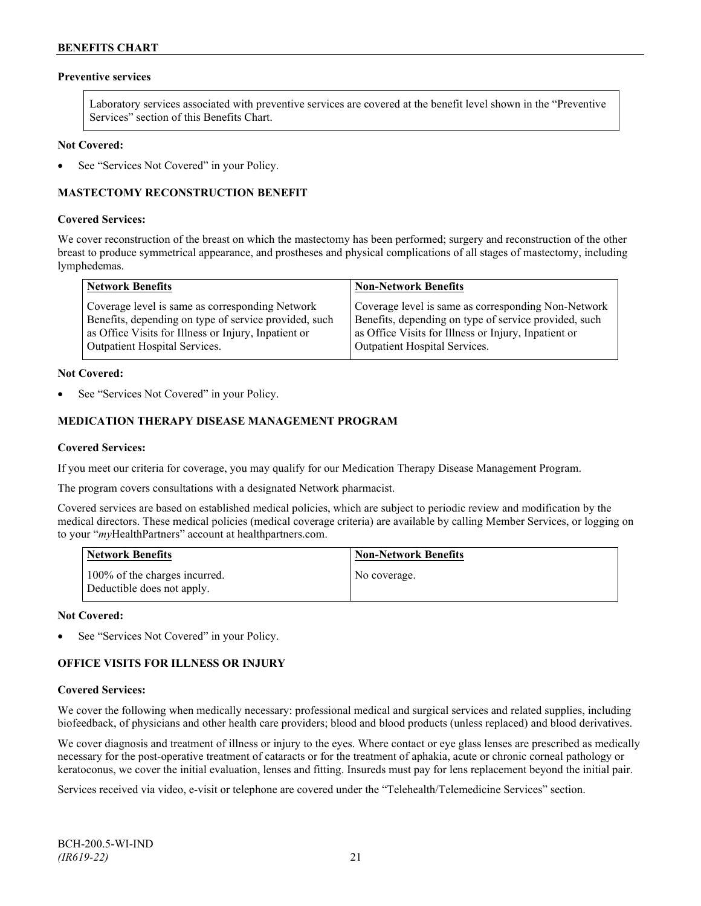# **Preventive services**

Laboratory services associated with preventive services are covered at the benefit level shown in the "Preventive Services" section of this Benefits Chart.

#### **Not Covered:**

See "Services Not Covered" in your Policy.

# **MASTECTOMY RECONSTRUCTION BENEFIT**

#### **Covered Services:**

We cover reconstruction of the breast on which the mastectomy has been performed; surgery and reconstruction of the other breast to produce symmetrical appearance, and prostheses and physical complications of all stages of mastectomy, including lymphedemas.

| <b>Network Benefits</b>                               | <b>Non-Network Benefits</b>                           |
|-------------------------------------------------------|-------------------------------------------------------|
| Coverage level is same as corresponding Network       | Coverage level is same as corresponding Non-Network   |
| Benefits, depending on type of service provided, such | Benefits, depending on type of service provided, such |
| as Office Visits for Illness or Injury, Inpatient or  | as Office Visits for Illness or Injury, Inpatient or  |
| <b>Outpatient Hospital Services.</b>                  | <b>Outpatient Hospital Services.</b>                  |

#### **Not Covered:**

See "Services Not Covered" in your Policy.

### **MEDICATION THERAPY DISEASE MANAGEMENT PROGRAM**

#### **Covered Services:**

If you meet our criteria for coverage, you may qualify for our Medication Therapy Disease Management Program.

The program covers consultations with a designated Network pharmacist.

Covered services are based on established medical policies, which are subject to periodic review and modification by the medical directors. These medical policies (medical coverage criteria) are available by calling Member Services, or logging on to your "*my*HealthPartners" account at [healthpartners.com.](http://www.healthpartners.com/)

| <b>Network Benefits</b>                                     | <b>Non-Network Benefits</b> |
|-------------------------------------------------------------|-----------------------------|
| 100% of the charges incurred.<br>Deductible does not apply. | No coverage.                |

#### **Not Covered:**

See "Services Not Covered" in your Policy.

### **OFFICE VISITS FOR ILLNESS OR INJURY**

#### **Covered Services:**

We cover the following when medically necessary: professional medical and surgical services and related supplies, including biofeedback, of physicians and other health care providers; blood and blood products (unless replaced) and blood derivatives.

We cover diagnosis and treatment of illness or injury to the eyes. Where contact or eye glass lenses are prescribed as medically necessary for the post-operative treatment of cataracts or for the treatment of aphakia, acute or chronic corneal pathology or keratoconus, we cover the initial evaluation, lenses and fitting. Insureds must pay for lens replacement beyond the initial pair.

Services received via video, e-visit or telephone are covered under the "Telehealth/Telemedicine Services" section.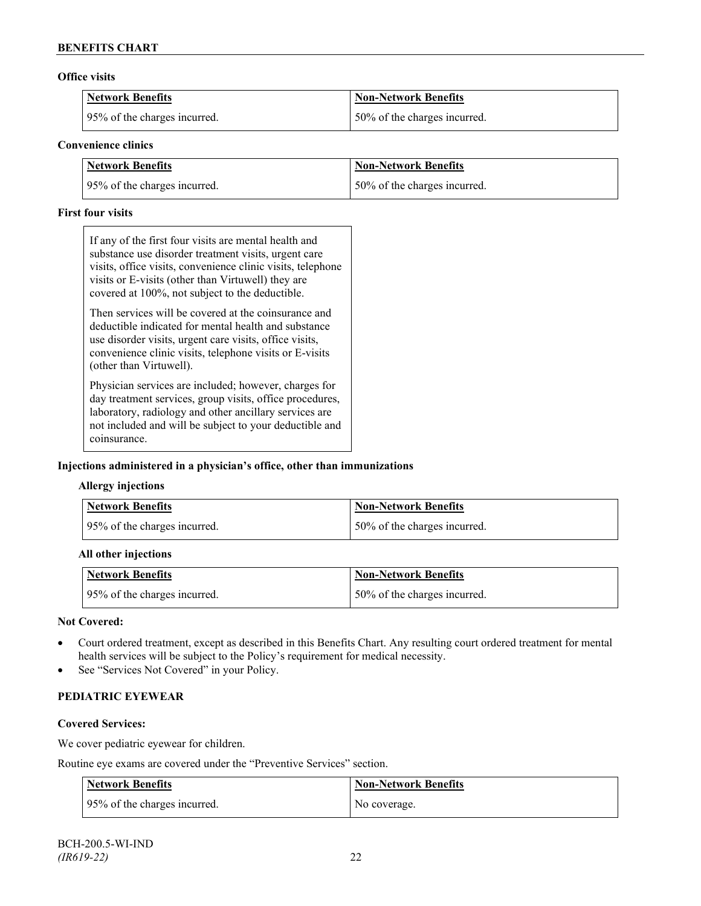#### **Office visits**

| <b>Network Benefits</b>      | Non-Network Benefits         |
|------------------------------|------------------------------|
| 95% of the charges incurred. | 50% of the charges incurred. |

#### **Convenience clinics**

| <b>Network Benefits</b>      | <b>Non-Network Benefits</b>  |
|------------------------------|------------------------------|
| 95% of the charges incurred. | 50% of the charges incurred. |

#### **First four visits**

If any of the first four visits are mental health and substance use disorder treatment visits, urgent care visits, office visits, convenience clinic visits, telephone visits or E-visits (other than Virtuwell) they are covered at 100%, not subject to the deductible.

Then services will be covered at the coinsurance and deductible indicated for mental health and substance use disorder visits, urgent care visits, office visits, convenience clinic visits, telephone visits or E-visits (other than Virtuwell).

Physician services are included; however, charges for day treatment services, group visits, office procedures, laboratory, radiology and other ancillary services are not included and will be subject to your deductible and coinsurance.

### **Injections administered in a physician's office, other than immunizations**

### **Allergy injections**

| Network Benefits             | <b>Non-Network Benefits</b>  |
|------------------------------|------------------------------|
| 95% of the charges incurred. | 50% of the charges incurred. |

#### **All other injections**

| Network Benefits             | <b>Non-Network Benefits</b>  |
|------------------------------|------------------------------|
| 95% of the charges incurred. | 50% of the charges incurred. |

#### **Not Covered:**

- Court ordered treatment, except as described in this Benefits Chart. Any resulting court ordered treatment for mental health services will be subject to the Policy's requirement for medical necessity.
- See "Services Not Covered" in your Policy.

# **PEDIATRIC EYEWEAR**

# **Covered Services:**

We cover pediatric eyewear for children.

Routine eye exams are covered under the "Preventive Services" section.

| <b>Network Benefits</b>      | Non-Network Benefits |
|------------------------------|----------------------|
| 95% of the charges incurred. | No coverage.         |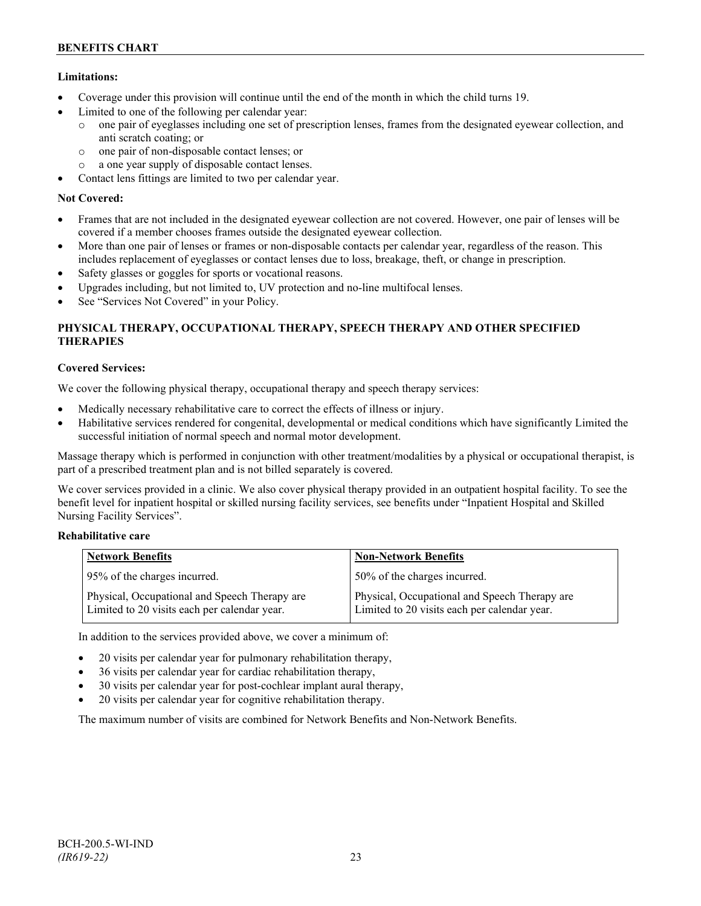# **Limitations:**

- Coverage under this provision will continue until the end of the month in which the child turns 19.
- Limited to one of the following per calendar year:
	- o one pair of eyeglasses including one set of prescription lenses, frames from the designated eyewear collection, and anti scratch coating; or
	- o one pair of non-disposable contact lenses; or
	- o a one year supply of disposable contact lenses.
- Contact lens fittings are limited to two per calendar year.

# **Not Covered:**

- Frames that are not included in the designated eyewear collection are not covered. However, one pair of lenses will be covered if a member chooses frames outside the designated eyewear collection.
- More than one pair of lenses or frames or non-disposable contacts per calendar year, regardless of the reason. This includes replacement of eyeglasses or contact lenses due to loss, breakage, theft, or change in prescription.
- Safety glasses or goggles for sports or vocational reasons.
- Upgrades including, but not limited to, UV protection and no-line multifocal lenses.
- See "Services Not Covered" in your Policy.

# **PHYSICAL THERAPY, OCCUPATIONAL THERAPY, SPEECH THERAPY AND OTHER SPECIFIED THERAPIES**

# **Covered Services:**

We cover the following physical therapy, occupational therapy and speech therapy services:

- Medically necessary rehabilitative care to correct the effects of illness or injury.
- Habilitative services rendered for congenital, developmental or medical conditions which have significantly Limited the successful initiation of normal speech and normal motor development.

Massage therapy which is performed in conjunction with other treatment/modalities by a physical or occupational therapist, is part of a prescribed treatment plan and is not billed separately is covered.

We cover services provided in a clinic. We also cover physical therapy provided in an outpatient hospital facility. To see the benefit level for inpatient hospital or skilled nursing facility services, see benefits under "Inpatient Hospital and Skilled Nursing Facility Services".

## **Rehabilitative care**

| <b>Network Benefits</b>                                                                       | <b>Non-Network Benefits</b>                                                                   |
|-----------------------------------------------------------------------------------------------|-----------------------------------------------------------------------------------------------|
| 95% of the charges incurred.                                                                  | 50% of the charges incurred.                                                                  |
| Physical, Occupational and Speech Therapy are<br>Limited to 20 visits each per calendar year. | Physical, Occupational and Speech Therapy are<br>Limited to 20 visits each per calendar year. |

In addition to the services provided above, we cover a minimum of:

- 20 visits per calendar year for pulmonary rehabilitation therapy,
- 36 visits per calendar year for cardiac rehabilitation therapy,
- 30 visits per calendar year for post-cochlear implant aural therapy,
- 20 visits per calendar year for cognitive rehabilitation therapy.

The maximum number of visits are combined for Network Benefits and Non-Network Benefits.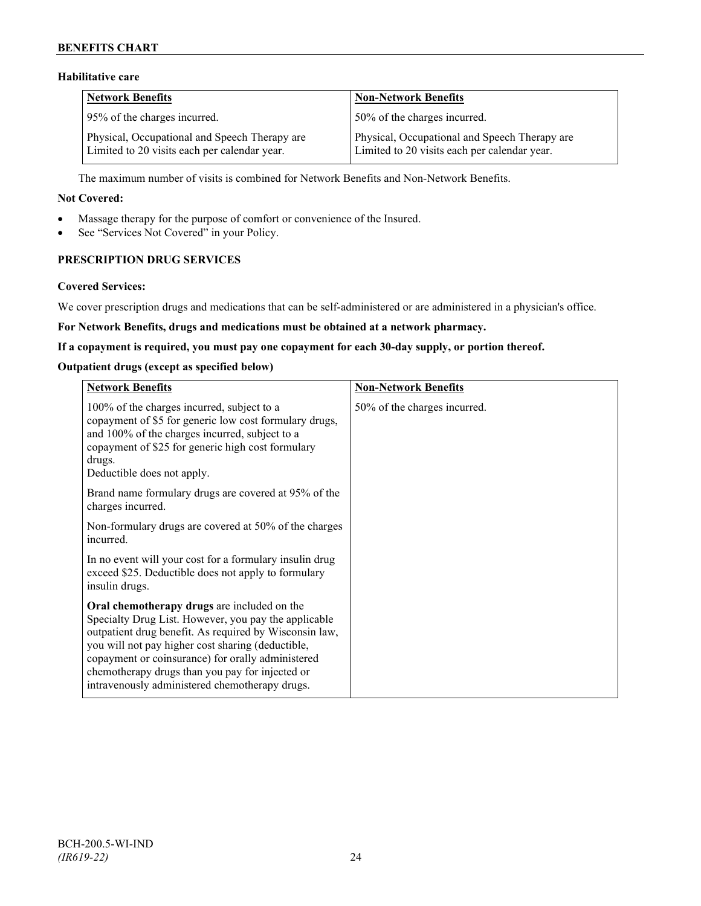# **Habilitative care**

| <b>Network Benefits</b>                                                                       | <b>Non-Network Benefits</b>                                                                   |
|-----------------------------------------------------------------------------------------------|-----------------------------------------------------------------------------------------------|
| 95% of the charges incurred.                                                                  | 50% of the charges incurred.                                                                  |
| Physical, Occupational and Speech Therapy are<br>Limited to 20 visits each per calendar year. | Physical, Occupational and Speech Therapy are<br>Limited to 20 visits each per calendar year. |

The maximum number of visits is combined for Network Benefits and Non-Network Benefits.

#### **Not Covered:**

- Massage therapy for the purpose of comfort or convenience of the Insured.
- See "Services Not Covered" in your Policy.

# **PRESCRIPTION DRUG SERVICES**

#### **Covered Services:**

We cover prescription drugs and medications that can be self-administered or are administered in a physician's office.

#### **For Network Benefits, drugs and medications must be obtained at a network pharmacy.**

#### **If a copayment is required, you must pay one copayment for each 30-day supply, or portion thereof.**

#### **Outpatient drugs (except as specified below)**

| <b>Network Benefits</b>                                                                                                                                                                                                                                                                                                                                                      | <b>Non-Network Benefits</b>  |
|------------------------------------------------------------------------------------------------------------------------------------------------------------------------------------------------------------------------------------------------------------------------------------------------------------------------------------------------------------------------------|------------------------------|
| 100% of the charges incurred, subject to a<br>copayment of \$5 for generic low cost formulary drugs,<br>and 100% of the charges incurred, subject to a<br>copayment of \$25 for generic high cost formulary<br>drugs.<br>Deductible does not apply.                                                                                                                          | 50% of the charges incurred. |
| Brand name formulary drugs are covered at 95% of the<br>charges incurred.                                                                                                                                                                                                                                                                                                    |                              |
| Non-formulary drugs are covered at 50% of the charges<br>incurred.                                                                                                                                                                                                                                                                                                           |                              |
| In no event will your cost for a formulary insulin drug<br>exceed \$25. Deductible does not apply to formulary<br>insulin drugs.                                                                                                                                                                                                                                             |                              |
| Oral chemotherapy drugs are included on the<br>Specialty Drug List. However, you pay the applicable<br>outpatient drug benefit. As required by Wisconsin law,<br>you will not pay higher cost sharing (deductible,<br>copayment or coinsurance) for orally administered<br>chemotherapy drugs than you pay for injected or<br>intravenously administered chemotherapy drugs. |                              |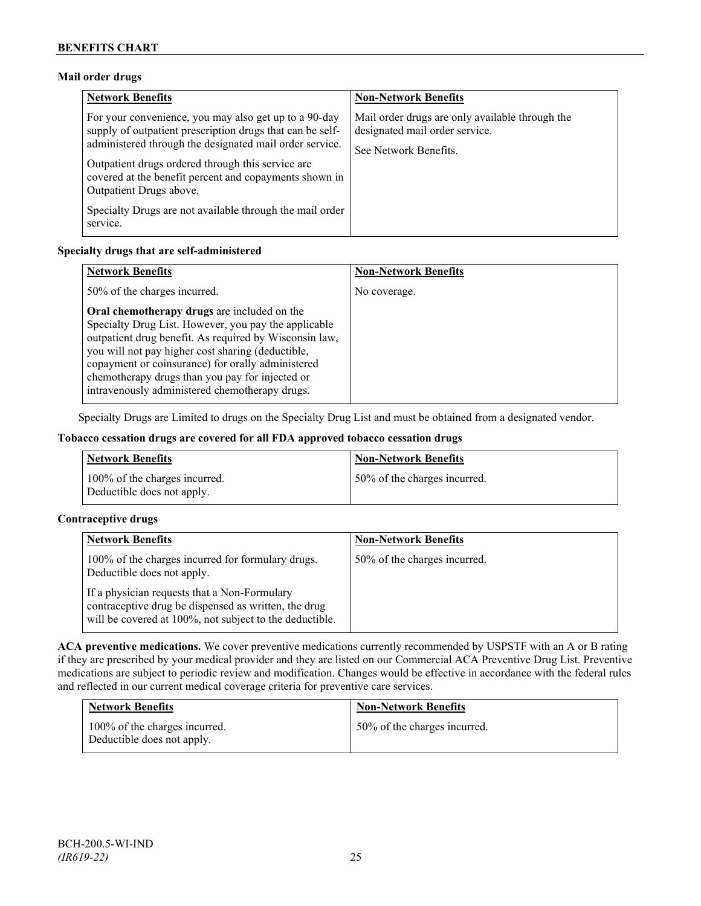# **Mail order drugs**

| <b>Network Benefits</b>                                                                                                                                                                                                                                                                                                 | <b>Non-Network Benefits</b>                                                                                |
|-------------------------------------------------------------------------------------------------------------------------------------------------------------------------------------------------------------------------------------------------------------------------------------------------------------------------|------------------------------------------------------------------------------------------------------------|
| For your convenience, you may also get up to a 90-day<br>supply of outpatient prescription drugs that can be self-<br>administered through the designated mail order service.<br>Outpatient drugs ordered through this service are<br>covered at the benefit percent and copayments shown in<br>Outpatient Drugs above. | Mail order drugs are only available through the<br>designated mail order service.<br>See Network Benefits. |
| Specialty Drugs are not available through the mail order<br>service.                                                                                                                                                                                                                                                    |                                                                                                            |

### **Specialty drugs that are self-administered**

| <b>Network Benefits</b>                                                                                                                                                                                                                                                                                                                                                      | <b>Non-Network Benefits</b> |
|------------------------------------------------------------------------------------------------------------------------------------------------------------------------------------------------------------------------------------------------------------------------------------------------------------------------------------------------------------------------------|-----------------------------|
| 50% of the charges incurred.                                                                                                                                                                                                                                                                                                                                                 | No coverage.                |
| Oral chemotherapy drugs are included on the<br>Specialty Drug List. However, you pay the applicable<br>outpatient drug benefit. As required by Wisconsin law,<br>you will not pay higher cost sharing (deductible,<br>copayment or coinsurance) for orally administered<br>chemotherapy drugs than you pay for injected or<br>intravenously administered chemotherapy drugs. |                             |

Specialty Drugs are Limited to drugs on the Specialty Drug List and must be obtained from a designated vendor.

### **Tobacco cessation drugs are covered for all FDA approved tobacco cessation drugs**

| <b>Network Benefits</b>                                     | <b>Non-Network Benefits</b>  |
|-------------------------------------------------------------|------------------------------|
| 100% of the charges incurred.<br>Deductible does not apply. | 50% of the charges incurred. |

### **Contraceptive drugs**

| <b>Network Benefits</b>                                                                                                                                         | <b>Non-Network Benefits</b>  |
|-----------------------------------------------------------------------------------------------------------------------------------------------------------------|------------------------------|
| 100% of the charges incurred for formulary drugs.<br>Deductible does not apply.                                                                                 | 50% of the charges incurred. |
| If a physician requests that a Non-Formulary<br>contraceptive drug be dispensed as written, the drug<br>will be covered at 100%, not subject to the deductible. |                              |

**ACA preventive medications.** We cover preventive medications currently recommended by USPSTF with an A or B rating if they are prescribed by your medical provider and they are listed on our Commercial ACA Preventive Drug List. Preventive medications are subject to periodic review and modification. Changes would be effective in accordance with the federal rules and reflected in our current medical coverage criteria for preventive care services.

| <b>Network Benefits</b>                                     | <b>Non-Network Benefits</b>  |
|-------------------------------------------------------------|------------------------------|
| 100% of the charges incurred.<br>Deductible does not apply. | 50% of the charges incurred. |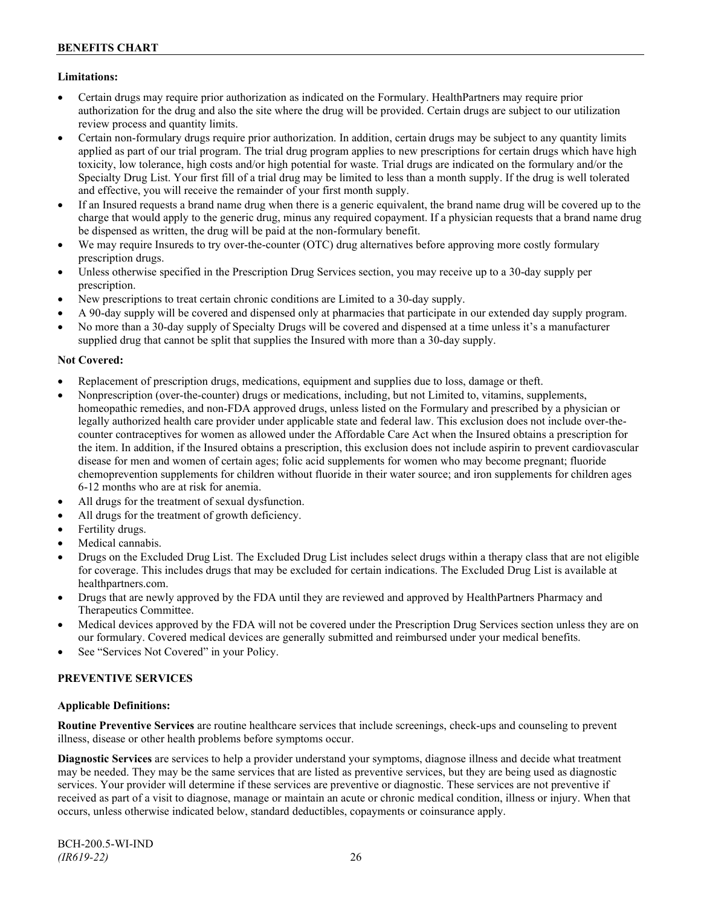# **Limitations:**

- Certain drugs may require prior authorization as indicated on the Formulary. HealthPartners may require prior authorization for the drug and also the site where the drug will be provided. Certain drugs are subject to our utilization review process and quantity limits.
- Certain non-formulary drugs require prior authorization. In addition, certain drugs may be subject to any quantity limits applied as part of our trial program. The trial drug program applies to new prescriptions for certain drugs which have high toxicity, low tolerance, high costs and/or high potential for waste. Trial drugs are indicated on the formulary and/or the Specialty Drug List. Your first fill of a trial drug may be limited to less than a month supply. If the drug is well tolerated and effective, you will receive the remainder of your first month supply.
- If an Insured requests a brand name drug when there is a generic equivalent, the brand name drug will be covered up to the charge that would apply to the generic drug, minus any required copayment. If a physician requests that a brand name drug be dispensed as written, the drug will be paid at the non-formulary benefit.
- We may require Insureds to try over-the-counter (OTC) drug alternatives before approving more costly formulary prescription drugs.
- Unless otherwise specified in the Prescription Drug Services section, you may receive up to a 30-day supply per prescription.
- New prescriptions to treat certain chronic conditions are Limited to a 30-day supply.
- A 90-day supply will be covered and dispensed only at pharmacies that participate in our extended day supply program.
- No more than a 30-day supply of Specialty Drugs will be covered and dispensed at a time unless it's a manufacturer supplied drug that cannot be split that supplies the Insured with more than a 30-day supply.

### **Not Covered:**

- Replacement of prescription drugs, medications, equipment and supplies due to loss, damage or theft.
- Nonprescription (over-the-counter) drugs or medications, including, but not Limited to, vitamins, supplements, homeopathic remedies, and non-FDA approved drugs, unless listed on the Formulary and prescribed by a physician or legally authorized health care provider under applicable state and federal law. This exclusion does not include over-thecounter contraceptives for women as allowed under the Affordable Care Act when the Insured obtains a prescription for the item. In addition, if the Insured obtains a prescription, this exclusion does not include aspirin to prevent cardiovascular disease for men and women of certain ages; folic acid supplements for women who may become pregnant; fluoride chemoprevention supplements for children without fluoride in their water source; and iron supplements for children ages 6-12 months who are at risk for anemia.
- All drugs for the treatment of sexual dysfunction.
- All drugs for the treatment of growth deficiency.
- Fertility drugs.
- Medical cannabis.
- Drugs on the Excluded Drug List. The Excluded Drug List includes select drugs within a therapy class that are not eligible for coverage. This includes drugs that may be excluded for certain indications. The Excluded Drug List is available at [healthpartners.com.](http://www.healthpartners.com/)
- Drugs that are newly approved by the FDA until they are reviewed and approved by HealthPartners Pharmacy and Therapeutics Committee.
- Medical devices approved by the FDA will not be covered under the Prescription Drug Services section unless they are on our formulary. Covered medical devices are generally submitted and reimbursed under your medical benefits.
- See "Services Not Covered" in your Policy.

### **PREVENTIVE SERVICES**

### **Applicable Definitions:**

**Routine Preventive Services** are routine healthcare services that include screenings, check-ups and counseling to prevent illness, disease or other health problems before symptoms occur.

**Diagnostic Services** are services to help a provider understand your symptoms, diagnose illness and decide what treatment may be needed. They may be the same services that are listed as preventive services, but they are being used as diagnostic services. Your provider will determine if these services are preventive or diagnostic. These services are not preventive if received as part of a visit to diagnose, manage or maintain an acute or chronic medical condition, illness or injury. When that occurs, unless otherwise indicated below, standard deductibles, copayments or coinsurance apply.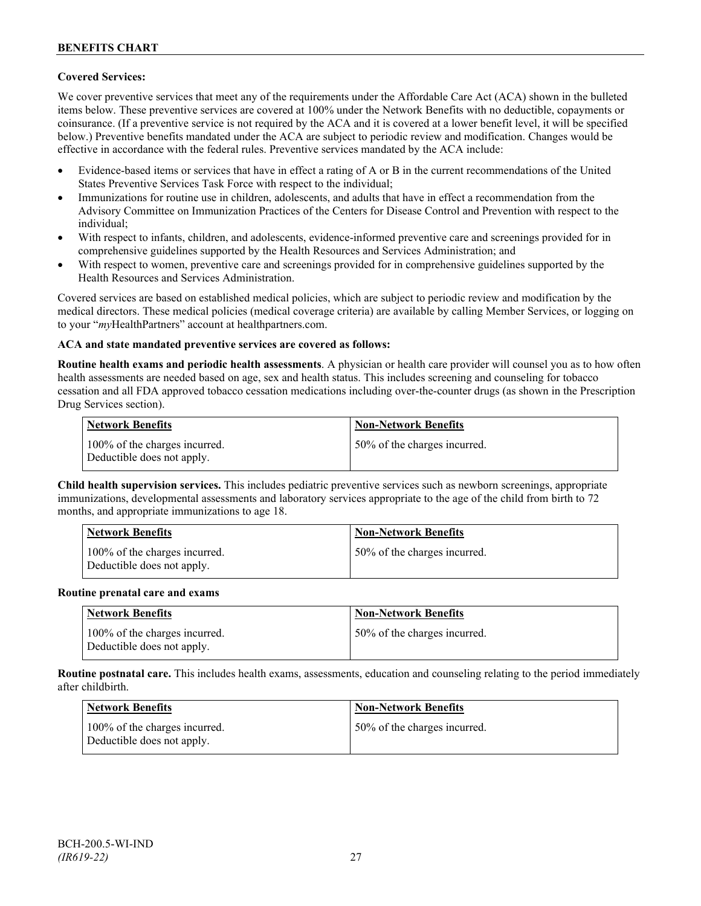# **Covered Services:**

We cover preventive services that meet any of the requirements under the Affordable Care Act (ACA) shown in the bulleted items below. These preventive services are covered at 100% under the Network Benefits with no deductible, copayments or coinsurance. (If a preventive service is not required by the ACA and it is covered at a lower benefit level, it will be specified below.) Preventive benefits mandated under the ACA are subject to periodic review and modification. Changes would be effective in accordance with the federal rules. Preventive services mandated by the ACA include:

- Evidence-based items or services that have in effect a rating of A or B in the current recommendations of the United States Preventive Services Task Force with respect to the individual;
- Immunizations for routine use in children, adolescents, and adults that have in effect a recommendation from the Advisory Committee on Immunization Practices of the Centers for Disease Control and Prevention with respect to the individual;
- With respect to infants, children, and adolescents, evidence-informed preventive care and screenings provided for in comprehensive guidelines supported by the Health Resources and Services Administration; and
- With respect to women, preventive care and screenings provided for in comprehensive guidelines supported by the Health Resources and Services Administration.

Covered services are based on established medical policies, which are subject to periodic review and modification by the medical directors. These medical policies (medical coverage criteria) are available by calling Member Services, or logging on to your "*my*HealthPartners" account at [healthpartners.com.](http://www.healthpartners.com/)

### **ACA and state mandated preventive services are covered as follows:**

**Routine health exams and periodic health assessments**. A physician or health care provider will counsel you as to how often health assessments are needed based on age, sex and health status. This includes screening and counseling for tobacco cessation and all FDA approved tobacco cessation medications including over-the-counter drugs (as shown in the Prescription Drug Services section).

| <b>Network Benefits</b>                                     | <b>Non-Network Benefits</b>  |
|-------------------------------------------------------------|------------------------------|
| 100% of the charges incurred.<br>Deductible does not apply. | 50% of the charges incurred. |

**Child health supervision services.** This includes pediatric preventive services such as newborn screenings, appropriate immunizations, developmental assessments and laboratory services appropriate to the age of the child from birth to 72 months, and appropriate immunizations to age 18.

| <b>Network Benefits</b>                                     | <b>Non-Network Benefits</b>  |
|-------------------------------------------------------------|------------------------------|
| 100% of the charges incurred.<br>Deductible does not apply. | 50% of the charges incurred. |

#### **Routine prenatal care and exams**

| Network Benefits                                            | <b>Non-Network Benefits</b>  |
|-------------------------------------------------------------|------------------------------|
| 100% of the charges incurred.<br>Deductible does not apply. | 50% of the charges incurred. |

**Routine postnatal care.** This includes health exams, assessments, education and counseling relating to the period immediately after childbirth.

| <b>Network Benefits</b>                                     | <b>Non-Network Benefits</b>  |
|-------------------------------------------------------------|------------------------------|
| 100% of the charges incurred.<br>Deductible does not apply. | 50% of the charges incurred. |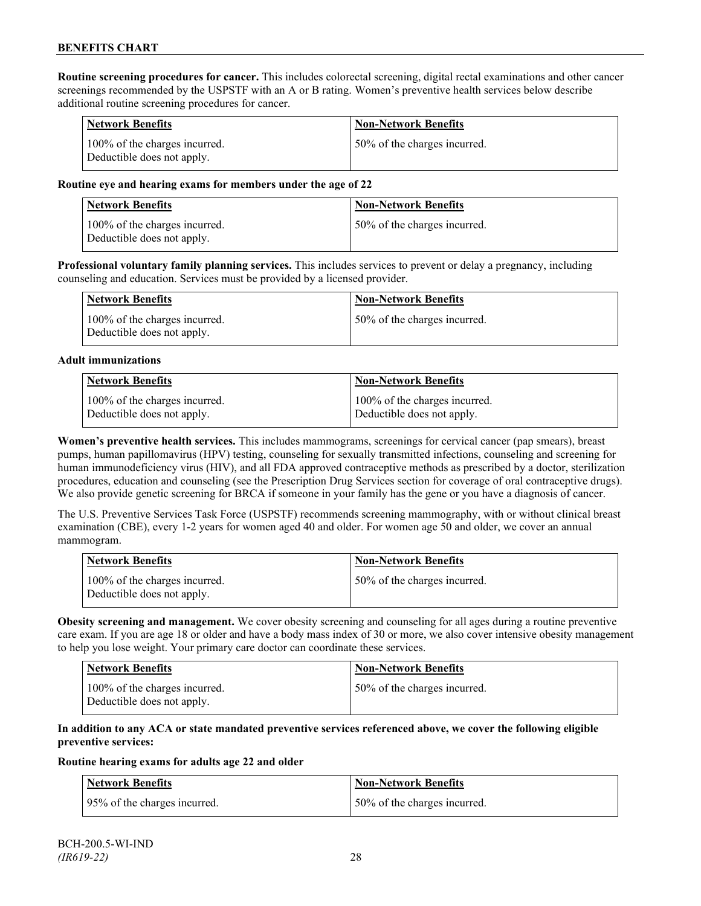**Routine screening procedures for cancer.** This includes colorectal screening, digital rectal examinations and other cancer screenings recommended by the USPSTF with an A or B rating. Women's preventive health services below describe additional routine screening procedures for cancer.

| <b>Network Benefits</b>                                     | <b>Non-Network Benefits</b>  |
|-------------------------------------------------------------|------------------------------|
| 100% of the charges incurred.<br>Deductible does not apply. | 50% of the charges incurred. |

#### **Routine eye and hearing exams for members under the age of 22**

| Network Benefits                                            | <b>Non-Network Benefits</b>  |
|-------------------------------------------------------------|------------------------------|
| 100% of the charges incurred.<br>Deductible does not apply. | 50% of the charges incurred. |

**Professional voluntary family planning services.** This includes services to prevent or delay a pregnancy, including counseling and education. Services must be provided by a licensed provider.

| Network Benefits                                            | <b>Non-Network Benefits</b>   |
|-------------------------------------------------------------|-------------------------------|
| 100% of the charges incurred.<br>Deductible does not apply. | 150% of the charges incurred. |

#### **Adult immunizations**

| <b>Network Benefits</b>       | <b>Non-Network Benefits</b>   |
|-------------------------------|-------------------------------|
| 100% of the charges incurred. | 100% of the charges incurred. |
| Deductible does not apply.    | Deductible does not apply.    |

**Women's preventive health services.** This includes mammograms, screenings for cervical cancer (pap smears), breast pumps, human papillomavirus (HPV) testing, counseling for sexually transmitted infections, counseling and screening for human immunodeficiency virus (HIV), and all FDA approved contraceptive methods as prescribed by a doctor, sterilization procedures, education and counseling (see the Prescription Drug Services section for coverage of oral contraceptive drugs). We also provide genetic screening for BRCA if someone in your family has the gene or you have a diagnosis of cancer.

The U.S. Preventive Services Task Force (USPSTF) recommends screening mammography, with or without clinical breast examination (CBE), every 1-2 years for women aged 40 and older. For women age 50 and older, we cover an annual mammogram.

| Network Benefits                                            | <b>Non-Network Benefits</b>  |
|-------------------------------------------------------------|------------------------------|
| 100% of the charges incurred.<br>Deductible does not apply. | 50% of the charges incurred. |

**Obesity screening and management.** We cover obesity screening and counseling for all ages during a routine preventive care exam. If you are age 18 or older and have a body mass index of 30 or more, we also cover intensive obesity management to help you lose weight. Your primary care doctor can coordinate these services.

| <b>Network Benefits</b>                                     | Non-Network Benefits         |
|-------------------------------------------------------------|------------------------------|
| 100% of the charges incurred.<br>Deductible does not apply. | 50% of the charges incurred. |

#### **In addition to any ACA or state mandated preventive services referenced above, we cover the following eligible preventive services:**

#### **Routine hearing exams for adults age 22 and older**

| Network Benefits             | <b>Non-Network Benefits</b>  |
|------------------------------|------------------------------|
| 95% of the charges incurred. | 50% of the charges incurred. |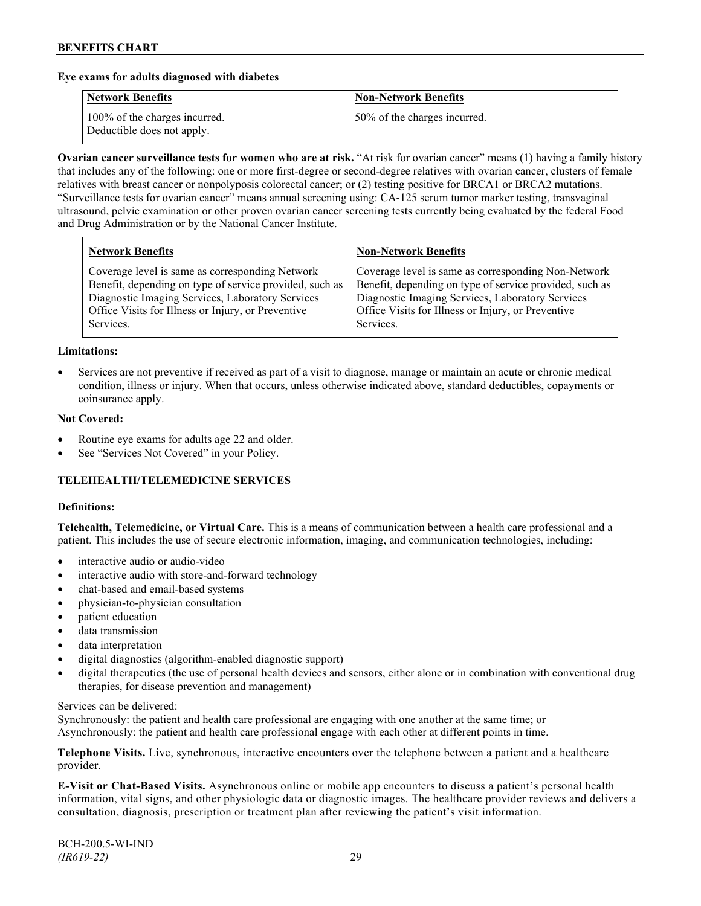#### **Eye exams for adults diagnosed with diabetes**

| <b>Network Benefits</b>                                     | <b>Non-Network Benefits</b>  |
|-------------------------------------------------------------|------------------------------|
| 100% of the charges incurred.<br>Deductible does not apply. | 50% of the charges incurred. |

**Ovarian cancer surveillance tests for women who are at risk.** "At risk for ovarian cancer" means (1) having a family history that includes any of the following: one or more first-degree or second-degree relatives with ovarian cancer, clusters of female relatives with breast cancer or nonpolyposis colorectal cancer; or (2) testing positive for BRCA1 or BRCA2 mutations. "Surveillance tests for ovarian cancer" means annual screening using: CA-125 serum tumor marker testing, transvaginal ultrasound, pelvic examination or other proven ovarian cancer screening tests currently being evaluated by the federal Food and Drug Administration or by the National Cancer Institute.

| <b>Network Benefits</b>                                 | <b>Non-Network Benefits</b>                             |
|---------------------------------------------------------|---------------------------------------------------------|
| Coverage level is same as corresponding Network         | Coverage level is same as corresponding Non-Network     |
| Benefit, depending on type of service provided, such as | Benefit, depending on type of service provided, such as |
| Diagnostic Imaging Services, Laboratory Services        | Diagnostic Imaging Services, Laboratory Services        |
| Office Visits for Illness or Injury, or Preventive      | Office Visits for Illness or Injury, or Preventive      |
| Services.                                               | Services.                                               |

#### **Limitations:**

• Services are not preventive if received as part of a visit to diagnose, manage or maintain an acute or chronic medical condition, illness or injury. When that occurs, unless otherwise indicated above, standard deductibles, copayments or coinsurance apply.

#### **Not Covered:**

- Routine eye exams for adults age 22 and older.
- See "Services Not Covered" in your Policy.

### **TELEHEALTH/TELEMEDICINE SERVICES**

#### **Definitions:**

**Telehealth, Telemedicine, or Virtual Care.** This is a means of communication between a health care professional and a patient. This includes the use of secure electronic information, imaging, and communication technologies, including:

- interactive audio or audio-video
- interactive audio with store-and-forward technology
- chat-based and email-based systems
- physician-to-physician consultation
- patient education
- data transmission
- data interpretation
- digital diagnostics (algorithm-enabled diagnostic support)
- digital therapeutics (the use of personal health devices and sensors, either alone or in combination with conventional drug therapies, for disease prevention and management)

#### Services can be delivered:

Synchronously: the patient and health care professional are engaging with one another at the same time; or Asynchronously: the patient and health care professional engage with each other at different points in time.

**Telephone Visits.** Live, synchronous, interactive encounters over the telephone between a patient and a healthcare provider.

**E-Visit or Chat-Based Visits.** Asynchronous online or mobile app encounters to discuss a patient's personal health information, vital signs, and other physiologic data or diagnostic images. The healthcare provider reviews and delivers a consultation, diagnosis, prescription or treatment plan after reviewing the patient's visit information.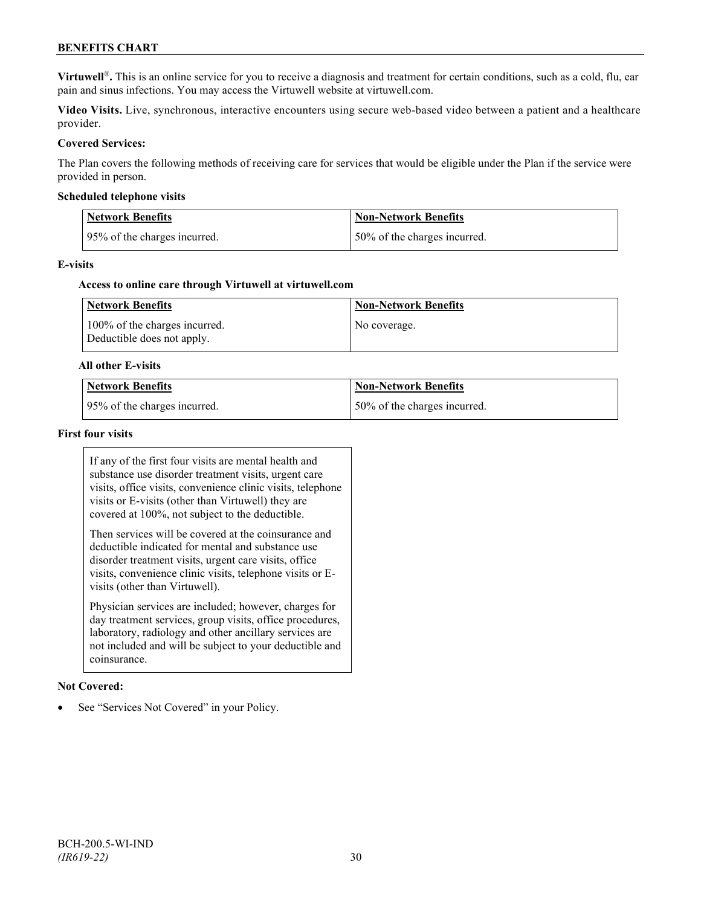**Virtuwell<sup>®</sup>**. This is an online service for you to receive a diagnosis and treatment for certain conditions, such as a cold, flu, ear pain and sinus infections. You may access the Virtuwell website at [virtuwell.com.](https://www.virtuwell.com/)

**Video Visits.** Live, synchronous, interactive encounters using secure web-based video between a patient and a healthcare provider.

#### **Covered Services:**

The Plan covers the following methods of receiving care for services that would be eligible under the Plan if the service were provided in person.

#### **Scheduled telephone visits**

| Network Benefits             | Non-Network Benefits          |
|------------------------------|-------------------------------|
| 95% of the charges incurred. | 150% of the charges incurred. |

#### **E-visits**

#### **Access to online care through Virtuwell at [virtuwell.com](http://www.virtuwell.com/)**

| Network Benefits                                            | <b>Non-Network Benefits</b> |
|-------------------------------------------------------------|-----------------------------|
| 100% of the charges incurred.<br>Deductible does not apply. | No coverage.                |

#### **All other E-visits**

| Network Benefits             | Non-Network Benefits         |
|------------------------------|------------------------------|
| 95% of the charges incurred. | 50% of the charges incurred. |

# **First four visits**

If any of the first four visits are mental health and substance use disorder treatment visits, urgent care visits, office visits, convenience clinic visits, telephone visits or E-visits (other than Virtuwell) they are covered at 100%, not subject to the deductible.

Then services will be covered at the coinsurance and deductible indicated for mental and substance use disorder treatment visits, urgent care visits, office visits, convenience clinic visits, telephone visits or Evisits (other than Virtuwell).

Physician services are included; however, charges for day treatment services, group visits, office procedures, laboratory, radiology and other ancillary services are not included and will be subject to your deductible and coinsurance.

#### **Not Covered:**

See "Services Not Covered" in your Policy.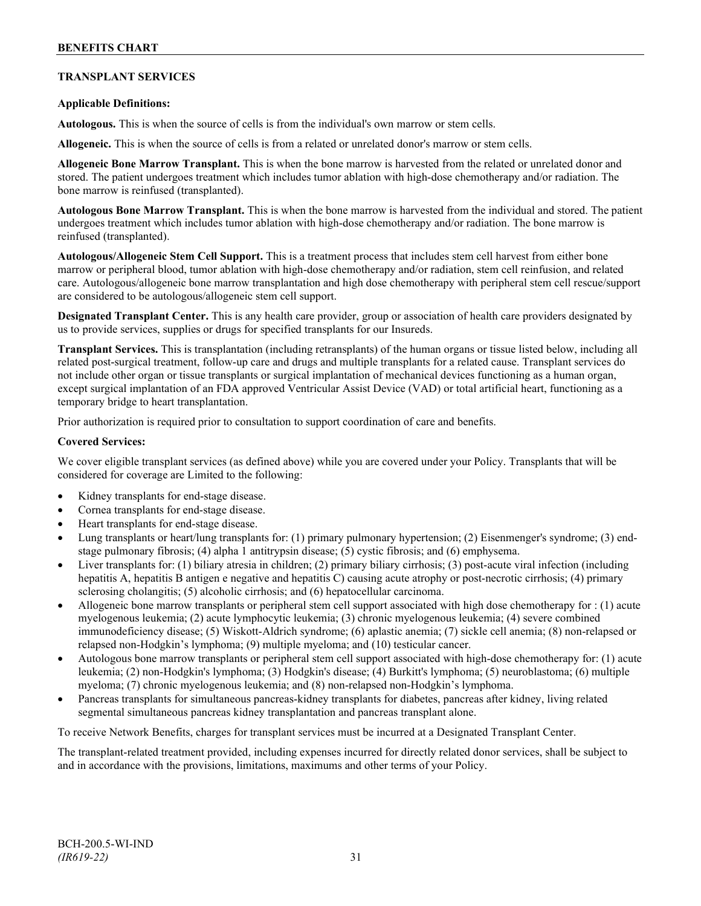# **TRANSPLANT SERVICES**

### **Applicable Definitions:**

**Autologous.** This is when the source of cells is from the individual's own marrow or stem cells.

**Allogeneic.** This is when the source of cells is from a related or unrelated donor's marrow or stem cells.

**Allogeneic Bone Marrow Transplant.** This is when the bone marrow is harvested from the related or unrelated donor and stored. The patient undergoes treatment which includes tumor ablation with high-dose chemotherapy and/or radiation. The bone marrow is reinfused (transplanted).

**Autologous Bone Marrow Transplant.** This is when the bone marrow is harvested from the individual and stored. The patient undergoes treatment which includes tumor ablation with high-dose chemotherapy and/or radiation. The bone marrow is reinfused (transplanted).

**Autologous/Allogeneic Stem Cell Support.** This is a treatment process that includes stem cell harvest from either bone marrow or peripheral blood, tumor ablation with high-dose chemotherapy and/or radiation, stem cell reinfusion, and related care. Autologous/allogeneic bone marrow transplantation and high dose chemotherapy with peripheral stem cell rescue/support are considered to be autologous/allogeneic stem cell support.

**Designated Transplant Center.** This is any health care provider, group or association of health care providers designated by us to provide services, supplies or drugs for specified transplants for our Insureds.

**Transplant Services.** This is transplantation (including retransplants) of the human organs or tissue listed below, including all related post-surgical treatment, follow-up care and drugs and multiple transplants for a related cause. Transplant services do not include other organ or tissue transplants or surgical implantation of mechanical devices functioning as a human organ, except surgical implantation of an FDA approved Ventricular Assist Device (VAD) or total artificial heart, functioning as a temporary bridge to heart transplantation.

Prior authorization is required prior to consultation to support coordination of care and benefits.

#### **Covered Services:**

We cover eligible transplant services (as defined above) while you are covered under your Policy. Transplants that will be considered for coverage are Limited to the following:

- Kidney transplants for end-stage disease.
- Cornea transplants for end-stage disease.
- Heart transplants for end-stage disease.
- Lung transplants or heart/lung transplants for: (1) primary pulmonary hypertension; (2) Eisenmenger's syndrome; (3) endstage pulmonary fibrosis; (4) alpha 1 antitrypsin disease; (5) cystic fibrosis; and (6) emphysema.
- Liver transplants for: (1) biliary atresia in children; (2) primary biliary cirrhosis; (3) post-acute viral infection (including hepatitis A, hepatitis B antigen e negative and hepatitis C) causing acute atrophy or post-necrotic cirrhosis; (4) primary sclerosing cholangitis; (5) alcoholic cirrhosis; and (6) hepatocellular carcinoma.
- Allogeneic bone marrow transplants or peripheral stem cell support associated with high dose chemotherapy for : (1) acute myelogenous leukemia; (2) acute lymphocytic leukemia; (3) chronic myelogenous leukemia; (4) severe combined immunodeficiency disease; (5) Wiskott-Aldrich syndrome; (6) aplastic anemia; (7) sickle cell anemia; (8) non-relapsed or relapsed non-Hodgkin's lymphoma; (9) multiple myeloma; and (10) testicular cancer.
- Autologous bone marrow transplants or peripheral stem cell support associated with high-dose chemotherapy for: (1) acute leukemia; (2) non-Hodgkin's lymphoma; (3) Hodgkin's disease; (4) Burkitt's lymphoma; (5) neuroblastoma; (6) multiple myeloma; (7) chronic myelogenous leukemia; and (8) non-relapsed non-Hodgkin's lymphoma.
- Pancreas transplants for simultaneous pancreas-kidney transplants for diabetes, pancreas after kidney, living related segmental simultaneous pancreas kidney transplantation and pancreas transplant alone.

To receive Network Benefits, charges for transplant services must be incurred at a Designated Transplant Center.

The transplant-related treatment provided, including expenses incurred for directly related donor services, shall be subject to and in accordance with the provisions, limitations, maximums and other terms of your Policy.